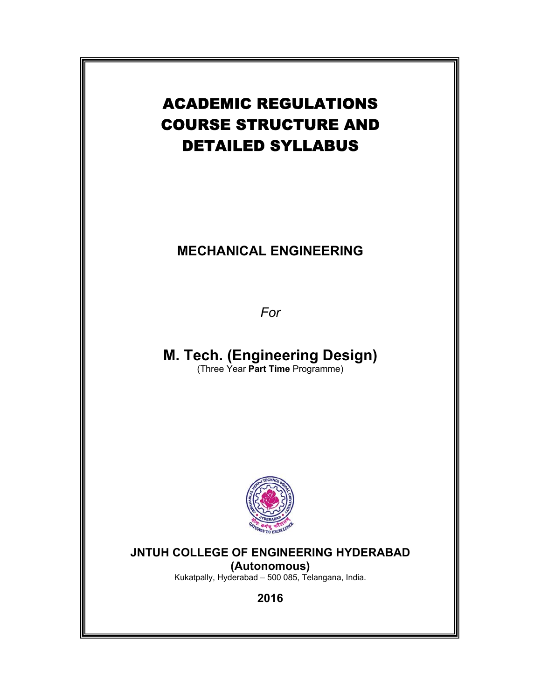# ACADEMIC REGULATIONS COURSE STRUCTURE AND DETAILED SYLLABUS

# **MECHANICAL ENGINEERING**

*For* 

**M. Tech. (Engineering Design)**  (Three Year **Part Time** Programme)



**JNTUH COLLEGE OF ENGINEERING HYDERABAD** 

**(Autonomous)** Kukatpally, Hyderabad – 500 085, Telangana, India.

**2016**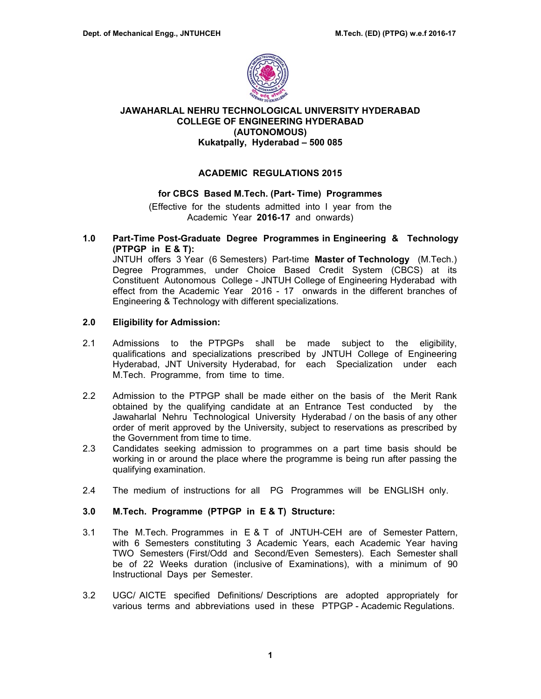

# **JAWAHARLAL NEHRU TECHNOLOGICAL UNIVERSITY HYDERABAD COLLEGE OF ENGINEERING HYDERABAD (AUTONOMOUS) Kukatpally, Hyderabad – 500 085**

# **ACADEMIC REGULATIONS 2015**

# **for CBCS Based M.Tech. (Part- Time) Programmes**

(Effective for the students admitted into I year from the Academic Year **2016-17** and onwards)

**1.0 Part-Time Post-Graduate Degree Programmes in Engineering & Technology (PTPGP in E & T):** 

JNTUH offers 3 Year (6 Semesters) Part-time **Master of Technology** (M.Tech.) Degree Programmes, under Choice Based Credit System (CBCS) at its Constituent Autonomous College - JNTUH College of Engineering Hyderabad with effect from the Academic Year 2016 - 17 onwards in the different branches of Engineering & Technology with different specializations.

# **2.0 Eligibility for Admission:**

- 2.1 Admissions to the PTPGPs shall be made subject to the eligibility, qualifications and specializations prescribed by JNTUH College of Engineering Hyderabad, JNT University Hyderabad, for each Specialization under each M.Tech. Programme, from time to time.
- 2.2 Admission to the PTPGP shall be made either on the basis of the Merit Rank obtained by the qualifying candidate at an Entrance Test conducted by the Jawaharlal Nehru Technological University Hyderabad / on the basis of any other order of merit approved by the University, subject to reservations as prescribed by the Government from time to time.
- 2.3 Candidates seeking admission to programmes on a part time basis should be working in or around the place where the programme is being run after passing the qualifying examination.
- 2.4 The medium of instructions for all PG Programmes will be ENGLISH only.

# **3.0 M.Tech. Programme (PTPGP in E & T) Structure:**

- 3.1 The M.Tech. Programmes in E & T of JNTUH-CEH are of Semester Pattern, with 6 Semesters constituting 3 Academic Years, each Academic Year having TWO Semesters (First/Odd and Second/Even Semesters). Each Semester shall be of 22 Weeks duration (inclusive of Examinations), with a minimum of 90 Instructional Days per Semester.
- 3.2 UGC/ AICTE specified Definitions/ Descriptions are adopted appropriately for various terms and abbreviations used in these PTPGP - Academic Regulations.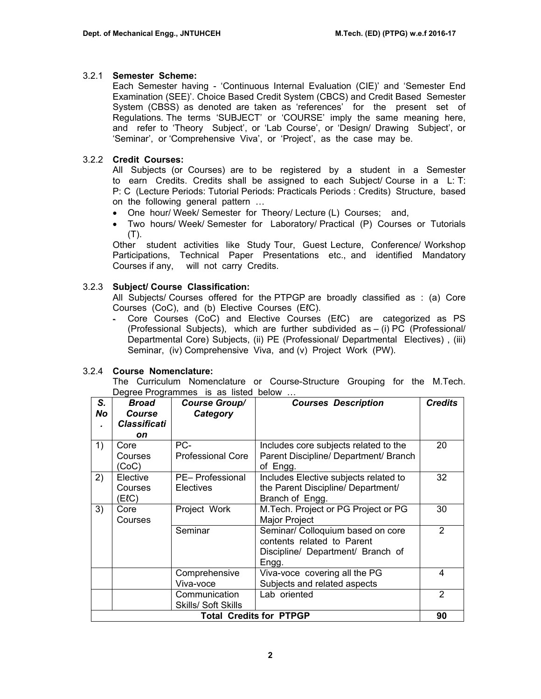# 3.2.1 **Semester Scheme:**

Each Semester having - 'Continuous Internal Evaluation (CIE)' and 'Semester End Examination (SEE)'. Choice Based Credit System (CBCS) and Credit Based Semester System (CBSS) as denoted are taken as 'references' for the present set of Regulations. The terms 'SUBJECT' or 'COURSE' imply the same meaning here, and refer to 'Theory Subject', or 'Lab Course', or 'Design/ Drawing Subject', or 'Seminar', or 'Comprehensive Viva', or 'Project', as the case may be.

# 3.2.2 **Credit Courses:**

All Subjects (or Courses) are to be registered by a student in a Semester to earn Credits. Credits shall be assigned to each Subject/ Course in a L: T: P: C (Lecture Periods: Tutorial Periods: Practicals Periods : Credits) Structure, based on the following general pattern …

- One hour/ Week/ Semester for Theory/ Lecture (L) Courses; and,
- Two hours/ Week/ Semester for Laboratory/ Practical (P) Courses or Tutorials (T).

Other student activities like Study Tour, Guest Lecture, Conference/ Workshop Participations, Technical Paper Presentations etc., and identified Mandatory Courses if any, will not carry Credits.

# 3.2.3 **Subject/ Course Classification:**

All Subjects/ Courses offered for the PTPGP are broadly classified as : (a) Core Courses (CoC), and (b) Elective Courses (EℓC).

‐ Core Courses (CoC) and Elective Courses (EℓC) are categorized as PS (Professional Subjects), which are further subdivided as – (i) PC (Professional/ Departmental Core) Subjects, (ii) PE (Professional/ Departmental Electives) , (iii) Seminar, (iv) Comprehensive Viva, and (v) Project Work (PW).

# 3.2.4 **Course Nomenclature:**

The Curriculum Nomenclature or Course-Structure Grouping for the M.Tech. Degree Programmes is as listed below ...

| S.<br>No | Broad<br>Course               | <b>Course Group/</b><br>Category | <b>Courses Description</b>            | <b>Credits</b> |  |  |  |  |
|----------|-------------------------------|----------------------------------|---------------------------------------|----------------|--|--|--|--|
|          | <b>Classificati</b>           |                                  |                                       |                |  |  |  |  |
|          | on                            |                                  |                                       |                |  |  |  |  |
| 1)       | Core                          | PC-                              | Includes core subjects related to the | 20             |  |  |  |  |
|          | Courses                       | <b>Professional Core</b>         | Parent Discipline/ Department/ Branch |                |  |  |  |  |
|          | (CoC)                         |                                  | of Engg.                              |                |  |  |  |  |
| 2)       | Elective                      | PE-Professional                  | Includes Elective subjects related to | 32             |  |  |  |  |
|          | Courses                       | Electives                        | the Parent Discipline/ Department/    |                |  |  |  |  |
|          | (ElC)                         |                                  | Branch of Engg.                       |                |  |  |  |  |
| 3)       | Core                          | Project Work                     | M.Tech. Project or PG Project or PG   | 30             |  |  |  |  |
|          | Courses                       |                                  | <b>Major Project</b>                  |                |  |  |  |  |
|          |                               | Seminar                          | Seminar/ Colloquium based on core     | $\overline{2}$ |  |  |  |  |
|          |                               |                                  | contents related to Parent            |                |  |  |  |  |
|          |                               |                                  | Discipline/ Department/ Branch of     |                |  |  |  |  |
|          |                               |                                  | Engg.                                 |                |  |  |  |  |
|          |                               | Comprehensive                    | Viva-voce covering all the PG         | 4              |  |  |  |  |
|          |                               | Viva-voce                        | Subjects and related aspects          |                |  |  |  |  |
|          | Communication<br>Lab oriented |                                  |                                       |                |  |  |  |  |
|          | <b>Skills/ Soft Skills</b>    |                                  |                                       |                |  |  |  |  |
|          |                               |                                  | <b>Total Credits for PTPGP</b>        | 90             |  |  |  |  |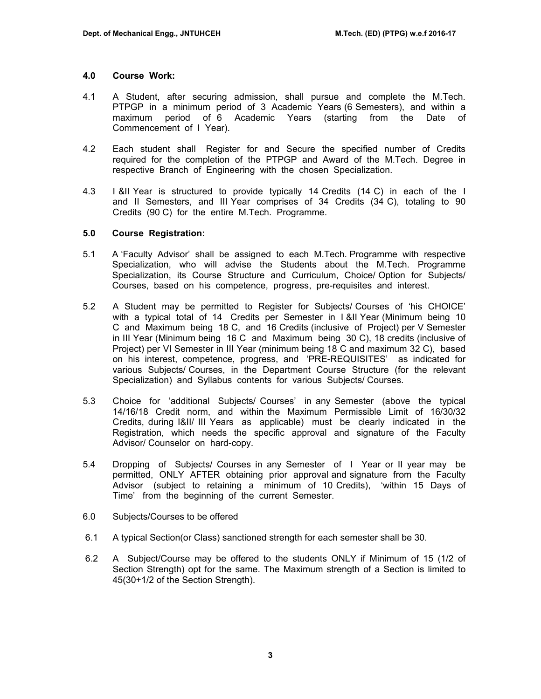## **4.0 Course Work:**

- 4.1 A Student, after securing admission, shall pursue and complete the M.Tech. PTPGP in a minimum period of 3 Academic Years (6 Semesters), and within a maximum period of 6 Academic Years (starting from the Date of Commencement of I Year).
- 4.2 Each student shall Register for and Secure the specified number of Credits required for the completion of the PTPGP and Award of the M.Tech. Degree in respective Branch of Engineering with the chosen Specialization.
- 4.3 I &II Year is structured to provide typically 14 Credits (14 C) in each of the I and II Semesters, and III Year comprises of 34 Credits (34 C), totaling to 90 Credits (90 C) for the entire M.Tech. Programme.

# **5.0 Course Registration:**

- 5.1 A 'Faculty Advisor' shall be assigned to each M.Tech. Programme with respective Specialization, who will advise the Students about the M.Tech. Programme Specialization, its Course Structure and Curriculum, Choice/ Option for Subjects/ Courses, based on his competence, progress, pre-requisites and interest.
- 5.2 A Student may be permitted to Register for Subjects/ Courses of 'his CHOICE' with a typical total of 14 Credits per Semester in I &II Year (Minimum being 10 C and Maximum being 18 C, and 16 Credits (inclusive of Project) per V Semester in III Year (Minimum being 16 C and Maximum being 30 C), 18 credits (inclusive of Project) per VI Semester in III Year (minimum being 18 C and maximum 32 C), based on his interest, competence, progress, and 'PRE-REQUISITES' as indicated for various Subjects/ Courses, in the Department Course Structure (for the relevant Specialization) and Syllabus contents for various Subjects/ Courses.
- 5.3 Choice for 'additional Subjects/ Courses' in any Semester (above the typical 14/16/18 Credit norm, and within the Maximum Permissible Limit of 16/30/32 Credits, during I&II/ III Years as applicable) must be clearly indicated in the Registration, which needs the specific approval and signature of the Faculty Advisor/ Counselor on hard-copy.
- 5.4 Dropping of Subjects/ Courses in any Semester of I Year or II year may be permitted, ONLY AFTER obtaining prior approval and signature from the Faculty Advisor (subject to retaining a minimum of 10 Credits), 'within 15 Days of Time' from the beginning of the current Semester.
- 6.0 Subjects/Courses to be offered
- 6.1 A typical Section(or Class) sanctioned strength for each semester shall be 30.
- 6.2 A Subject/Course may be offered to the students ONLY if Minimum of 15 (1/2 of Section Strength) opt for the same. The Maximum strength of a Section is limited to 45(30+1/2 of the Section Strength).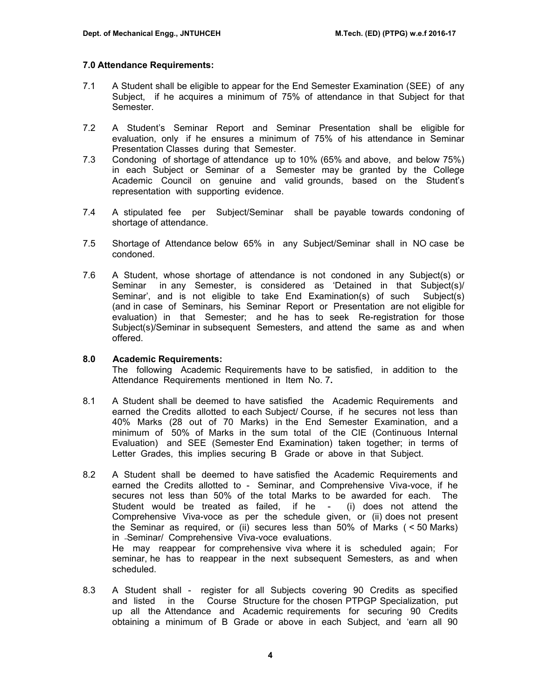# **7.0 Attendance Requirements:**

- 7.1 A Student shall be eligible to appear for the End Semester Examination (SEE) of any Subject, if he acquires a minimum of 75% of attendance in that Subject for that Semester.
- 7.2 A Student's Seminar Report and Seminar Presentation shall be eligible for evaluation, only if he ensures a minimum of 75% of his attendance in Seminar Presentation Classes during that Semester.
- 7.3 Condoning of shortage of attendance up to 10% (65% and above, and below 75%) in each Subject or Seminar of a Semester may be granted by the College Academic Council on genuine and valid grounds, based on the Student's representation with supporting evidence.
- 7.4 A stipulated fee per Subject/Seminar shall be payable towards condoning of shortage of attendance.
- 7.5 Shortage of Attendance below 65% in any Subject/Seminar shall in NO case be condoned.
- 7.6 A Student, whose shortage of attendance is not condoned in any Subject(s) or Seminar in any Semester, is considered as 'Detained in that Subject(s)/ Seminar', and is not eligible to take End Examination(s) of such Subject(s) (and in case of Seminars, his Seminar Report or Presentation are not eligible for evaluation) in that Semester; and he has to seek Re-registration for those Subject(s)/Seminar in subsequent Semesters, and attend the same as and when offered.

## **8.0 Academic Requirements:**

The following Academic Requirements have to be satisfied, in addition to the Attendance Requirements mentioned in Item No. 7**.** 

- 8.1 A Student shall be deemed to have satisfied the Academic Requirements and earned the Credits allotted to each Subject/ Course, if he secures not less than 40% Marks (28 out of 70 Marks) in the End Semester Examination, and a minimum of 50% of Marks in the sum total of the CIE (Continuous Internal Evaluation) and SEE (Semester End Examination) taken together; in terms of Letter Grades, this implies securing B Grade or above in that Subject.
- 8.2A Student shall be deemed to have satisfied the Academic Requirements and earned the Credits allotted to - Seminar, and Comprehensive Viva-voce, if he secures not less than 50% of the total Marks to be awarded for each. The Student would be treated as failed, if he - (i) does not attend the Comprehensive Viva-voce as per the schedule given, or (ii) does not present the Seminar as required, or (ii) secures less than 50% of Marks ( < 50 Marks) in Seminar/ Comprehensive Viva-voce evaluations. He may reappear for comprehensive viva where it is scheduled again; For seminar, he has to reappear in the next subsequent Semesters, as and when scheduled.
- 8.3 A Student shall register for all Subjects covering 90 Credits as specified and listed in the Course Structure for the chosen PTPGP Specialization, put up all the Attendance and Academic requirements for securing 90 Credits obtaining a minimum of B Grade or above in each Subject, and 'earn all 90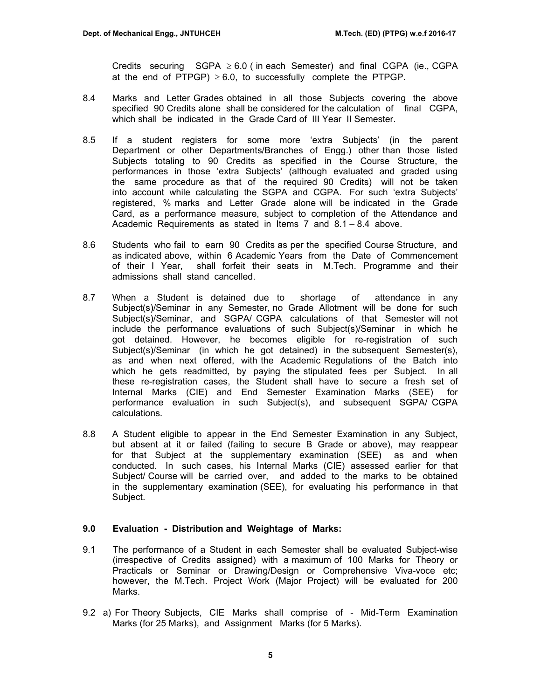Credits securing  $SGPA \geq 6.0$  (in each Semester) and final CGPA (ie., CGPA at the end of PTPGP)  $\geq 6.0$ , to successfully complete the PTPGP.

- 8.4 Marks and Letter Grades obtained in all those Subjects covering the above specified 90 Credits alone shall be considered for the calculation of final CGPA, which shall be indicated in the Grade Card of III Year II Semester.
- 8.5 If a student registers for some more 'extra Subjects' (in the parent Department or other Departments/Branches of Engg.) other than those listed Subjects totaling to 90 Credits as specified in the Course Structure, the performances in those 'extra Subjects' (although evaluated and graded using the same procedure as that of the required 90 Credits) will not be taken into account while calculating the SGPA and CGPA. For such 'extra Subjects' registered, % marks and Letter Grade alone will be indicated in the Grade Card, as a performance measure, subject to completion of the Attendance and Academic Requirements as stated in Items 7 and 8.1 – 8.4 above.
- 8.6 Students who fail to earn 90 Credits as per the specified Course Structure, and as indicated above, within 6 Academic Years from the Date of Commencement of their I Year, shall forfeit their seats in M.Tech. Programme and their admissions shall stand cancelled.
- 8.7 When a Student is detained due to shortage of attendance in any Subject(s)/Seminar in any Semester, no Grade Allotment will be done for such Subject(s)/Seminar, and SGPA/ CGPA calculations of that Semester will not include the performance evaluations of such Subject(s)/Seminar in which he got detained. However, he becomes eligible for re-registration of such Subject(s)/Seminar (in which he got detained) in the subsequent Semester(s), as and when next offered, with the Academic Regulations of the Batch into which he gets readmitted, by paying the stipulated fees per Subject. In all these re-registration cases, the Student shall have to secure a fresh set of Internal Marks (CIE) and End Semester Examination Marks (SEE) for performance evaluation in such Subject(s), and subsequent SGPA/ CGPA calculations.
- 8.8 A Student eligible to appear in the End Semester Examination in any Subject, but absent at it or failed (failing to secure B Grade or above), may reappear for that Subject at the supplementary examination (SEE) as and when conducted. In such cases, his Internal Marks (CIE) assessed earlier for that Subject/ Course will be carried over, and added to the marks to be obtained in the supplementary examination (SEE), for evaluating his performance in that Subject.

## **9.0 Evaluation - Distribution and Weightage of Marks:**

- 9.1 The performance of a Student in each Semester shall be evaluated Subject-wise (irrespective of Credits assigned) with a maximum of 100 Marks for Theory or Practicals or Seminar or Drawing/Design or Comprehensive Viva-voce etc; however, the M.Tech. Project Work (Major Project) will be evaluated for 200 Marks.
- 9.2 a) For Theory Subjects, CIE Marks shall comprise of Mid-Term Examination Marks (for 25 Marks), and Assignment Marks (for 5 Marks).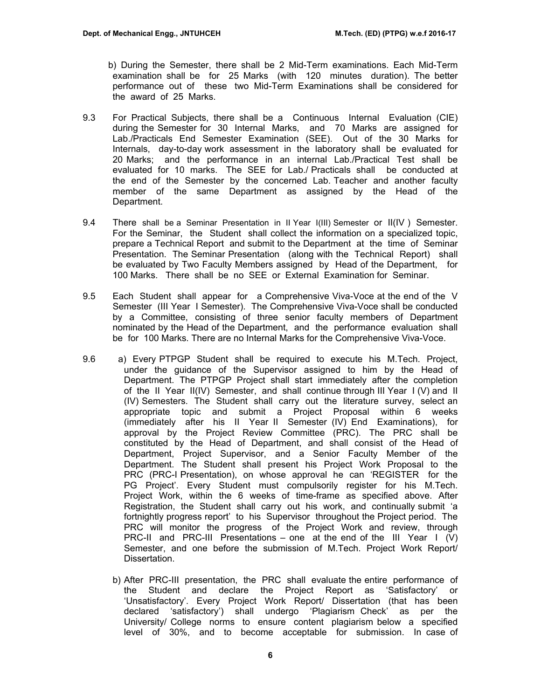- b) During the Semester, there shall be 2 Mid-Term examinations. Each Mid-Term examination shall be for 25 Marks (with 120 minutes duration). The better performance out of these two Mid-Term Examinations shall be considered for the award of 25 Marks.
- 9.3 For Practical Subjects, there shall be a Continuous Internal Evaluation (CIE) during the Semester for 30 Internal Marks, and 70 Marks are assigned for Lab./Practicals End Semester Examination (SEE). Out of the 30 Marks for Internals, day-to-day work assessment in the laboratory shall be evaluated for 20 Marks; and the performance in an internal Lab./Practical Test shall be evaluated for 10 marks. The SEE for Lab./ Practicals shall be conducted at the end of the Semester by the concerned Lab. Teacher and another faculty member of the same Department as assigned by the Head of the Department.
- 9.4 There shall be a Seminar Presentation in II Year I(III) Semester or II(IV ) Semester. For the Seminar, the Student shall collect the information on a specialized topic, prepare a Technical Report and submit to the Department at the time of Seminar Presentation. The Seminar Presentation (along with the Technical Report) shall be evaluated by Two Faculty Members assigned by Head of the Department, for 100 Marks. There shall be no SEE or External Examination for Seminar.
- 9.5 Each Student shall appear for a Comprehensive Viva-Voce at the end of the V Semester (III Year I Semester). The Comprehensive Viva-Voce shall be conducted by a Committee, consisting of three senior faculty members of Department nominated by the Head of the Department, and the performance evaluation shall be for 100 Marks. There are no Internal Marks for the Comprehensive Viva-Voce.
- 9.6 a) Every PTPGP Student shall be required to execute his M.Tech. Project, under the guidance of the Supervisor assigned to him by the Head of Department. The PTPGP Project shall start immediately after the completion of the II Year II(IV) Semester, and shall continue through III Year I (V) and II (IV) Semesters. The Student shall carry out the literature survey, select an appropriate topic and submit a Project Proposal within 6 weeks (immediately after his II Year II Semester (IV) End Examinations), for approval by the Project Review Committee (PRC). The PRC shall be constituted by the Head of Department, and shall consist of the Head of Department, Project Supervisor, and a Senior Faculty Member of the Department. The Student shall present his Project Work Proposal to the PRC (PRC-I Presentation), on whose approval he can 'REGISTER for the PG Project'. Every Student must compulsorily register for his M.Tech. Project Work, within the 6 weeks of time-frame as specified above. After Registration, the Student shall carry out his work, and continually submit 'a fortnightly progress report' to his Supervisor throughout the Project period. The PRC will monitor the progress of the Project Work and review, through PRC-II and PRC-III Presentations – one at the end of the III Year I  $(V)$ Semester, and one before the submission of M.Tech. Project Work Report/ Dissertation.
	- b) After PRC-III presentation, the PRC shall evaluate the entire performance of the Student and declare the Project Report as 'Satisfactory' or 'Unsatisfactory'. Every Project Work Report/ Dissertation (that has been declared 'satisfactory') shall undergo 'Plagiarism Check' as per the University/ College norms to ensure content plagiarism below a specified level of 30%, and to become acceptable for submission. In case of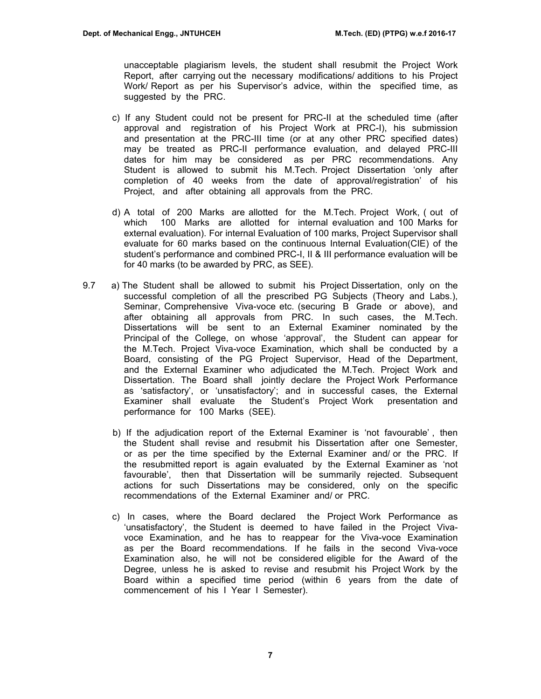unacceptable plagiarism levels, the student shall resubmit the Project Work Report, after carrying out the necessary modifications/ additions to his Project Work/ Report as per his Supervisor's advice, within the specified time, as suggested by the PRC.

- c) If any Student could not be present for PRC-II at the scheduled time (after approval and registration of his Project Work at PRC-I), his submission and presentation at the PRC-III time (or at any other PRC specified dates) may be treated as PRC-II performance evaluation, and delayed PRC-III dates for him may be considered as per PRC recommendations. Any Student is allowed to submit his M.Tech. Project Dissertation 'only after completion of 40 weeks from the date of approval/registration' of his Project, and after obtaining all approvals from the PRC.
- d) A total of 200 Marks are allotted for the M.Tech. Project Work, ( out of which 100 Marks are allotted for internal evaluation and 100 Marks for external evaluation). For internal Evaluation of 100 marks, Project Supervisor shall evaluate for 60 marks based on the continuous Internal Evaluation(CIE) of the student's performance and combined PRC-I, II & III performance evaluation will be for 40 marks (to be awarded by PRC, as SEE).
- 9.7 a) The Student shall be allowed to submit his Project Dissertation, only on the successful completion of all the prescribed PG Subjects (Theory and Labs.), Seminar, Comprehensive Viva-voce etc. (securing B Grade or above), and after obtaining all approvals from PRC. In such cases, the M.Tech. Dissertations will be sent to an External Examiner nominated by the Principal of the College, on whose 'approval', the Student can appear for the M.Tech. Project Viva-voce Examination, which shall be conducted by a Board, consisting of the PG Project Supervisor, Head of the Department, and the External Examiner who adjudicated the M.Tech. Project Work and Dissertation. The Board shall jointly declare the Project Work Performance as 'satisfactory', or 'unsatisfactory'; and in successful cases, the External Examiner shall evaluate the Student's Project Work presentation and performance for 100 Marks (SEE).
	- b) If the adjudication report of the External Examiner is 'not favourable' , then the Student shall revise and resubmit his Dissertation after one Semester, or as per the time specified by the External Examiner and/ or the PRC. If the resubmitted report is again evaluated by the External Examiner as 'not favourable', then that Dissertation will be summarily rejected. Subsequent actions for such Dissertations may be considered, only on the specific recommendations of the External Examiner and/ or PRC.
	- c) In cases, where the Board declared the Project Work Performance as 'unsatisfactory', the Student is deemed to have failed in the Project Vivavoce Examination, and he has to reappear for the Viva-voce Examination as per the Board recommendations. If he fails in the second Viva-voce Examination also, he will not be considered eligible for the Award of the Degree, unless he is asked to revise and resubmit his Project Work by the Board within a specified time period (within 6 years from the date of commencement of his I Year I Semester).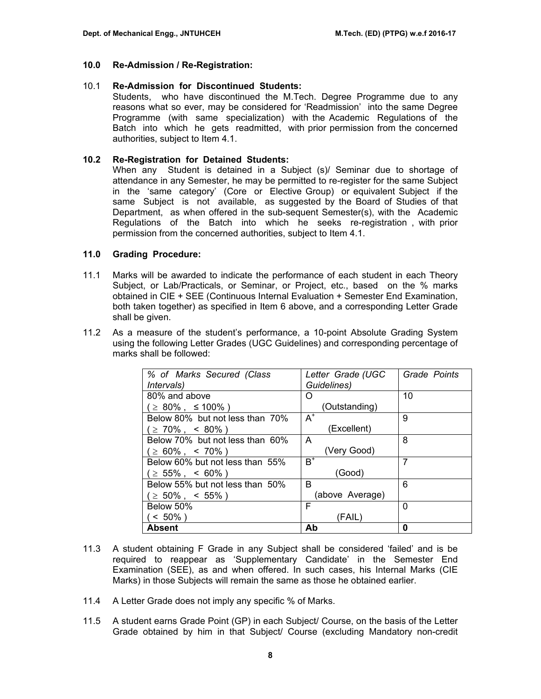# **10.0 Re-Admission / Re-Registration:**

# 10.1 **Re-Admission for Discontinued Students:**

Students, who have discontinued the M.Tech. Degree Programme due to any reasons what so ever, may be considered for 'Readmission' into the same Degree Programme (with same specialization) with the Academic Regulations of the Batch into which he gets readmitted, with prior permission from the concerned authorities, subject to Item 4.1.

# **10.2 Re-Registration for Detained Students:**

When any Student is detained in a Subject (s)/ Seminar due to shortage of attendance in any Semester, he may be permitted to re-register for the same Subject in the 'same category' (Core or Elective Group) or equivalent Subject if the same Subject is not available, as suggested by the Board of Studies of that Department, as when offered in the sub-sequent Semester(s), with the Academic Regulations of the Batch into which he seeks re-registration , with prior permission from the concerned authorities, subject to Item 4.1.

# **11.0 Grading Procedure:**

- 11.1 Marks will be awarded to indicate the performance of each student in each Theory Subject, or Lab/Practicals, or Seminar, or Project, etc., based on the % marks obtained in CIE + SEE (Continuous Internal Evaluation + Semester End Examination, both taken together) as specified in Item 6 above, and a corresponding Letter Grade shall be given.
- 11.2 As a measure of the student's performance, a 10-point Absolute Grading System using the following Letter Grades (UGC Guidelines) and corresponding percentage of marks shall be followed:

| % of Marks Secured (Class       | Letter Grade (UGC | Grade Points |
|---------------------------------|-------------------|--------------|
| <i>Intervals</i> )              | Guidelines)       |              |
| 80% and above                   | Ω                 | 10           |
| $( \geq 80\% , \leq 100\%)$     | (Outstanding)     |              |
| Below 80% but not less than 70% | $A^+$             | 9            |
| $( \geq 70\% , \leq 80\%)$      | (Excellent)       |              |
| Below 70% but not less than 60% | A                 | 8            |
| $( \geq 60\% , \leq 70\%)$      | (Very Good)       |              |
| Below 60% but not less than 55% | $B^+$             | 7            |
| $( \geq 55\% , \leq 60\%)$      | (Good)            |              |
| Below 55% but not less than 50% | R                 | 6            |
| $( \geq 50\%$ , < 55%)          | (above Average)   |              |
| Below 50%                       | F                 | 0            |
| $< 50\%$ )                      | (FAIL)            |              |
| <b>Absent</b>                   | Ab                | 0            |

- 11.3 A student obtaining F Grade in any Subject shall be considered 'failed' and is be required to reappear as 'Supplementary Candidate' in the Semester End Examination (SEE), as and when offered. In such cases, his Internal Marks (CIE Marks) in those Subjects will remain the same as those he obtained earlier.
- 11.4 A Letter Grade does not imply any specific % of Marks.
- 11.5 A student earns Grade Point (GP) in each Subject/ Course, on the basis of the Letter Grade obtained by him in that Subject/ Course (excluding Mandatory non-credit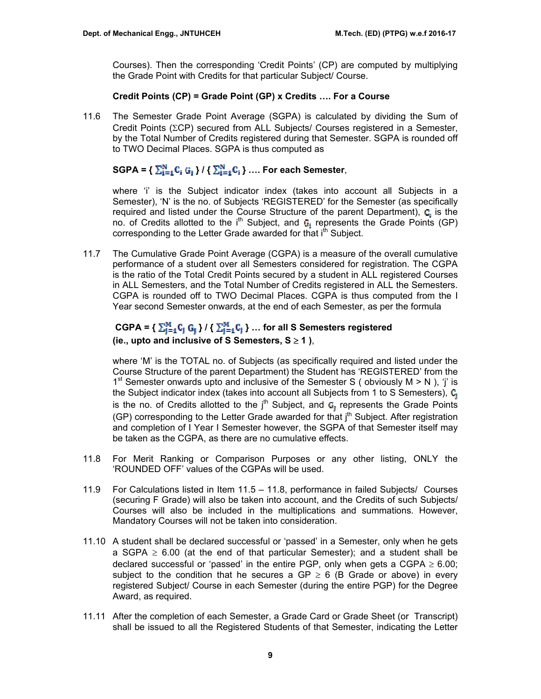Courses). Then the corresponding 'Credit Points' (CP) are computed by multiplying the Grade Point with Credits for that particular Subject/ Course.

# **Credit Points (CP) = Grade Point (GP) x Credits …. For a Course**

11.6 The Semester Grade Point Average (SGPA) is calculated by dividing the Sum of Credit Points (ΣCP) secured from ALL Subjects/ Courses registered in a Semester, by the Total Number of Credits registered during that Semester. SGPA is rounded off to TWO Decimal Places. SGPA is thus computed as

# $SGPA = \left\{ \sum_{i=4}^{N} C_i G_i \right\} / \left\{ \sum_{i=4}^{N} C_i \right\} \dots$  For each Semester,

where 'i' is the Subject indicator index (takes into account all Subjects in a Semester), 'N' is the no. of Subjects 'REGISTERED' for the Semester (as specifically required and listed under the Course Structure of the parent Department),  $C_i$  is the no. of Credits allotted to the i<sup>th</sup> Subject, and  $G_i$  represents the Grade Points (GP) corresponding to the Letter Grade awarded for that i<sup>th</sup> Subject.

11.7 The Cumulative Grade Point Average (CGPA) is a measure of the overall cumulative performance of a student over all Semesters considered for registration. The CGPA is the ratio of the Total Credit Points secured by a student in ALL registered Courses in ALL Semesters, and the Total Number of Credits registered in ALL the Semesters. CGPA is rounded off to TWO Decimal Places. CGPA is thus computed from the I Year second Semester onwards, at the end of each Semester, as per the formula

# $CGPA = \{\sum_{i=1}^{M} C_i \ G_i\} / \{\sum_{i=1}^{M} C_i\} ...$  for all S Semesters registered **(ie., upto and inclusive of S Semesters, S** ≥ **1 )**,

where 'M' is the TOTAL no. of Subjects (as specifically required and listed under the Course Structure of the parent Department) the Student has 'REGISTERED' from the 1<sup>st</sup> Semester onwards upto and inclusive of the Semester S ( obviously  $M > N$  ), 'i' is the Subject indicator index (takes into account all Subjects from 1 to S Semesters),  $C_i$ is the no. of Credits allotted to the  $j<sup>th</sup>$  Subject, and  $G<sub>1</sub>$  represents the Grade Points (GP) corresponding to the Letter Grade awarded for that  $j<sup>th</sup>$  Subject. After registration and completion of I Year I Semester however, the SGPA of that Semester itself may be taken as the CGPA, as there are no cumulative effects.

- 11.8 For Merit Ranking or Comparison Purposes or any other listing, ONLY the 'ROUNDED OFF' values of the CGPAs will be used.
- 11.9 For Calculations listed in Item 11.5 11.8, performance in failed Subjects/ Courses (securing F Grade) will also be taken into account, and the Credits of such Subjects/ Courses will also be included in the multiplications and summations. However, Mandatory Courses will not be taken into consideration.
- 11.10 A student shall be declared successful or 'passed' in a Semester, only when he gets a SGPA  $\geq$  6.00 (at the end of that particular Semester); and a student shall be declared successful or 'passed' in the entire PGP, only when gets a CGPA  $\geq 6.00$ ; subject to the condition that he secures a GP  $\geq$  6 (B Grade or above) in every registered Subject/ Course in each Semester (during the entire PGP) for the Degree Award, as required.
- 11.11 After the completion of each Semester, a Grade Card or Grade Sheet (or Transcript) shall be issued to all the Registered Students of that Semester, indicating the Letter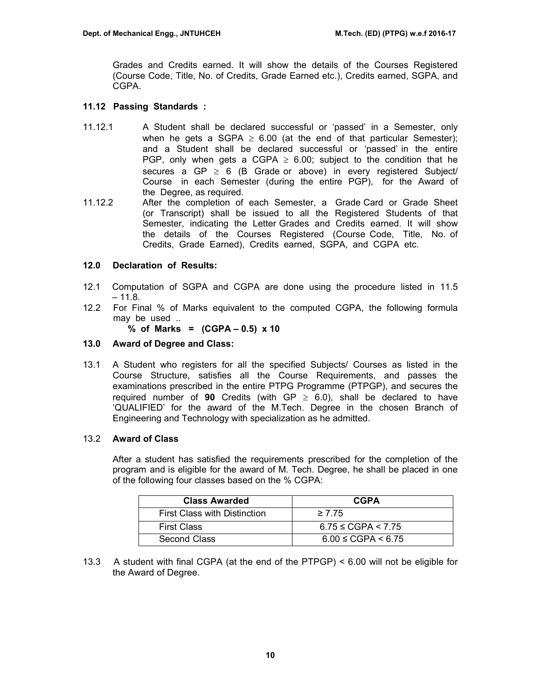Grades and Credits earned. It will show the details of the Courses Registered (Course Code, Title, No. of Credits, Grade Earned etc.), Credits earned, SGPA, and CGPA.

# **11.12 Passing Standards :**

- 11.12.1 A Student shall be declared successful or 'passed' in a Semester, only when he gets a SGPA  $\geq$  6.00 (at the end of that particular Semester); and a Student shall be declared successful or 'passed' in the entire PGP, only when gets a CGPA  $\geq$  6.00; subject to the condition that he secures a GP  $\geq$  6 (B Grade or above) in every registered Subject/ Course in each Semester (during the entire PGP), for the Award of the Degree, as required.
- 11.12.2 After the completion of each Semester, a Grade Card or Grade Sheet (or Transcript) shall be issued to all the Registered Students of that Semester, indicating the Letter Grades and Credits earned. It will show the details of the Courses Registered (Course Code, Title, No. of Credits, Grade Earned), Credits earned, SGPA, and CGPA etc.

# **12.0 Declaration of Results:**

- 12.1 Computation of SGPA and CGPA are done using the procedure listed in 11.5  $-11.8.$
- 12.2 For Final % of Marks equivalent to the computed CGPA, the following formula may be used ..

**% of Marks = (CGPA – 0.5) x 10** 

# **13.0 Award of Degree and Class:**

13.1 A Student who registers for all the specified Subjects/ Courses as listed in the Course Structure, satisfies all the Course Requirements, and passes the examinations prescribed in the entire PTPG Programme (PTPGP), and secures the required number of **90** Credits (with  $GP \ge 6.0$ ), shall be declared to have 'QUALIFIED' for the award of the M.Tech. Degree in the chosen Branch of Engineering and Technology with specialization as he admitted.

## 13.2 **Award of Class**

After a student has satisfied the requirements prescribed for the completion of the program and is eligible for the award of M. Tech. Degree, he shall be placed in one of the following four classes based on the % CGPA:

| <b>Class Awarded</b>                | <b>CGPA</b>                |
|-------------------------------------|----------------------------|
| <b>First Class with Distinction</b> | $\geq 7.75$                |
| <b>First Class</b>                  | $6.75 \leq CGPA \leq 7.75$ |
| Second Class                        | $6.00 \leq CGPA < 6.75$    |

13.3 A student with final CGPA (at the end of the PTPGP) < 6.00 will not be eligible for the Award of Degree.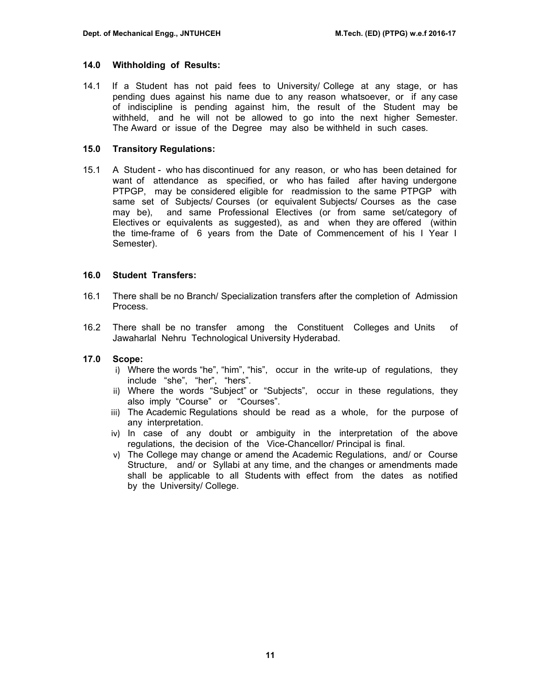## **14.0 Withholding of Results:**

14.1 If a Student has not paid fees to University/ College at any stage, or has pending dues against his name due to any reason whatsoever, or if any case of indiscipline is pending against him, the result of the Student may be withheld, and he will not be allowed to go into the next higher Semester. The Award or issue of the Degree may also be withheld in such cases.

## **15.0 Transitory Regulations:**

15.1 A Student - who has discontinued for any reason, or who has been detained for want of attendance as specified, or who has failed after having undergone PTPGP, may be considered eligible for readmission to the same PTPGP with same set of Subjects/ Courses (or equivalent Subjects/ Courses as the case may be), and same Professional Electives (or from same set/category of Electives or equivalents as suggested), as and when they are offered (within the time-frame of 6 years from the Date of Commencement of his I Year I Semester).

# **16.0 Student Transfers:**

- 16.1 There shall be no Branch/ Specialization transfers after the completion of Admission Process.
- 16.2 There shall be no transfer among the Constituent Colleges and Units of Jawaharlal Nehru Technological University Hyderabad.

# **17.0 Scope:**

- i) Where the words "he", "him", "his", occur in the write-up of regulations, they include "she", "her", "hers".
- ii) Where the words "Subject" or "Subjects", occur in these regulations, they also imply "Course" or "Courses".
- iii) The Academic Regulations should be read as a whole, for the purpose of any interpretation.
- iv) In case of any doubt or ambiguity in the interpretation of the above regulations, the decision of the Vice-Chancellor/ Principal is final.
- v) The College may change or amend the Academic Regulations, and/ or Course Structure, and/ or Syllabi at any time, and the changes or amendments made shall be applicable to all Students with effect from the dates as notified by the University/ College.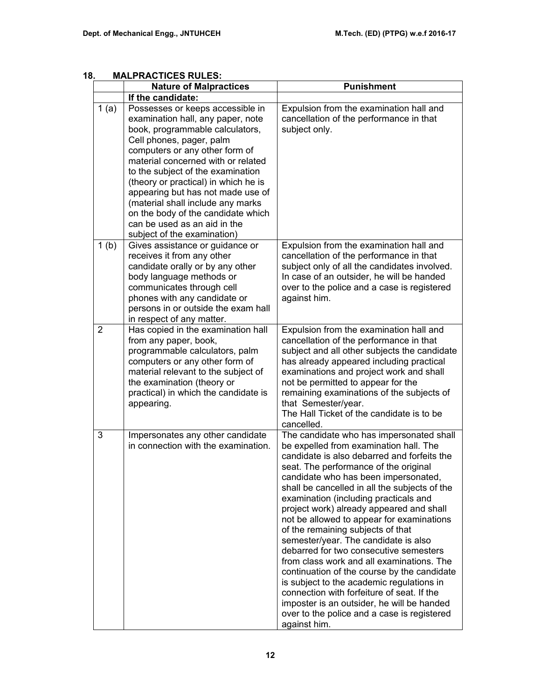# **18. MALPRACTICES RULES:**

|                  | <b>Nature of Malpractices</b>                                                                                                                                                                                                                                                                                                                                                                                                                                            | <b>Punishment</b>                                                                                                                                                                                                                                                                                                                                                                                                                                                                                                                                                                                                                                                                                                                                                                                                                |
|------------------|--------------------------------------------------------------------------------------------------------------------------------------------------------------------------------------------------------------------------------------------------------------------------------------------------------------------------------------------------------------------------------------------------------------------------------------------------------------------------|----------------------------------------------------------------------------------------------------------------------------------------------------------------------------------------------------------------------------------------------------------------------------------------------------------------------------------------------------------------------------------------------------------------------------------------------------------------------------------------------------------------------------------------------------------------------------------------------------------------------------------------------------------------------------------------------------------------------------------------------------------------------------------------------------------------------------------|
|                  | If the candidate:                                                                                                                                                                                                                                                                                                                                                                                                                                                        |                                                                                                                                                                                                                                                                                                                                                                                                                                                                                                                                                                                                                                                                                                                                                                                                                                  |
| 1(a)             | Possesses or keeps accessible in<br>examination hall, any paper, note<br>book, programmable calculators,<br>Cell phones, pager, palm<br>computers or any other form of<br>material concerned with or related<br>to the subject of the examination<br>(theory or practical) in which he is<br>appearing but has not made use of<br>(material shall include any marks<br>on the body of the candidate which<br>can be used as an aid in the<br>subject of the examination) | Expulsion from the examination hall and<br>cancellation of the performance in that<br>subject only.                                                                                                                                                                                                                                                                                                                                                                                                                                                                                                                                                                                                                                                                                                                              |
| 1 <sub>(b)</sub> | Gives assistance or guidance or<br>receives it from any other<br>candidate orally or by any other<br>body language methods or<br>communicates through cell<br>phones with any candidate or<br>persons in or outside the exam hall<br>in respect of any matter.                                                                                                                                                                                                           | Expulsion from the examination hall and<br>cancellation of the performance in that<br>subject only of all the candidates involved.<br>In case of an outsider, he will be handed<br>over to the police and a case is registered<br>against him.                                                                                                                                                                                                                                                                                                                                                                                                                                                                                                                                                                                   |
| $\overline{2}$   | Has copied in the examination hall<br>from any paper, book,<br>programmable calculators, palm<br>computers or any other form of<br>material relevant to the subject of<br>the examination (theory or<br>practical) in which the candidate is<br>appearing.                                                                                                                                                                                                               | Expulsion from the examination hall and<br>cancellation of the performance in that<br>subject and all other subjects the candidate<br>has already appeared including practical<br>examinations and project work and shall<br>not be permitted to appear for the<br>remaining examinations of the subjects of<br>that Semester/year.<br>The Hall Ticket of the candidate is to be<br>cancelled.                                                                                                                                                                                                                                                                                                                                                                                                                                   |
| 3                | Impersonates any other candidate<br>in connection with the examination.                                                                                                                                                                                                                                                                                                                                                                                                  | The candidate who has impersonated shall<br>be expelled from examination hall. The<br>candidate is also debarred and forfeits the<br>seat. The performance of the original<br>candidate who has been impersonated,<br>shall be cancelled in all the subjects of the<br>examination (including practicals and<br>project work) already appeared and shall<br>not be allowed to appear for examinations<br>of the remaining subjects of that<br>semester/year. The candidate is also<br>debarred for two consecutive semesters<br>from class work and all examinations. The<br>continuation of the course by the candidate<br>is subject to the academic regulations in<br>connection with forfeiture of seat. If the<br>imposter is an outsider, he will be handed<br>over to the police and a case is registered<br>against him. |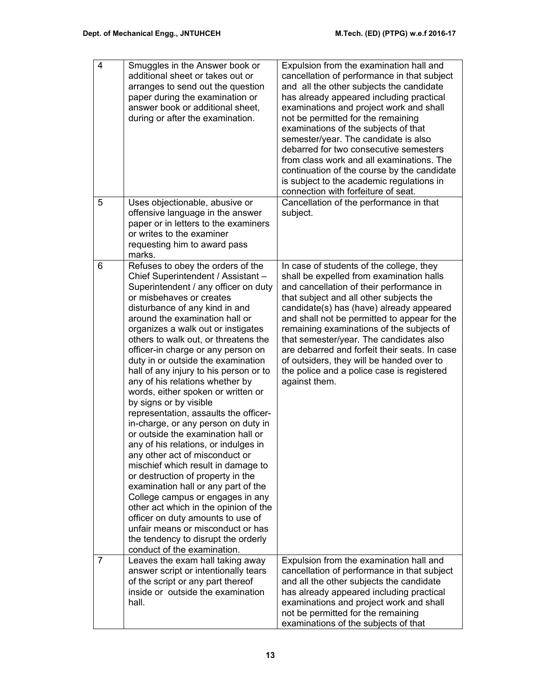| $\overline{\mathbf{4}}$ | Smuggles in the Answer book or<br>additional sheet or takes out or<br>arranges to send out the question<br>paper during the examination or<br>answer book or additional sheet.<br>during or after the examination.                                                                                                                                                                                                                                                                                                                                                                                                                                                                                                                                                                                                                                                                                                                                                                                                                                                    | Expulsion from the examination hall and<br>cancellation of performance in that subject<br>and all the other subjects the candidate<br>has already appeared including practical<br>examinations and project work and shall<br>not be permitted for the remaining<br>examinations of the subjects of that<br>semester/year. The candidate is also<br>debarred for two consecutive semesters<br>from class work and all examinations. The<br>continuation of the course by the candidate<br>is subject to the academic regulations in<br>connection with forfeiture of seat. |
|-------------------------|-----------------------------------------------------------------------------------------------------------------------------------------------------------------------------------------------------------------------------------------------------------------------------------------------------------------------------------------------------------------------------------------------------------------------------------------------------------------------------------------------------------------------------------------------------------------------------------------------------------------------------------------------------------------------------------------------------------------------------------------------------------------------------------------------------------------------------------------------------------------------------------------------------------------------------------------------------------------------------------------------------------------------------------------------------------------------|---------------------------------------------------------------------------------------------------------------------------------------------------------------------------------------------------------------------------------------------------------------------------------------------------------------------------------------------------------------------------------------------------------------------------------------------------------------------------------------------------------------------------------------------------------------------------|
| 5                       | Uses objectionable, abusive or<br>offensive language in the answer<br>paper or in letters to the examiners<br>or writes to the examiner<br>requesting him to award pass<br>marks.                                                                                                                                                                                                                                                                                                                                                                                                                                                                                                                                                                                                                                                                                                                                                                                                                                                                                     | Cancellation of the performance in that<br>subject.                                                                                                                                                                                                                                                                                                                                                                                                                                                                                                                       |
| 6                       | Refuses to obey the orders of the<br>Chief Superintendent / Assistant -<br>Superintendent / any officer on duty<br>or misbehaves or creates<br>disturbance of any kind in and<br>around the examination hall or<br>organizes a walk out or instigates<br>others to walk out, or threatens the<br>officer-in charge or any person on<br>duty in or outside the examination<br>hall of any injury to his person or to<br>any of his relations whether by<br>words, either spoken or written or<br>by signs or by visible<br>representation, assaults the officer-<br>in-charge, or any person on duty in<br>or outside the examination hall or<br>any of his relations, or indulges in<br>any other act of misconduct or<br>mischief which result in damage to<br>or destruction of property in the<br>examination hall or any part of the<br>College campus or engages in any<br>other act which in the opinion of the<br>officer on duty amounts to use of<br>unfair means or misconduct or has<br>the tendency to disrupt the orderly<br>conduct of the examination. | In case of students of the college, they<br>shall be expelled from examination halls<br>and cancellation of their performance in<br>that subject and all other subjects the<br>candidate(s) has (have) already appeared<br>and shall not be permitted to appear for the<br>remaining examinations of the subjects of<br>that semester/year. The candidates also<br>are debarred and forfeit their seats. In case<br>of outsiders, they will be handed over to<br>the police and a police case is registered<br>against them.                                              |
| $\overline{7}$          | Leaves the exam hall taking away<br>answer script or intentionally tears<br>of the script or any part thereof<br>inside or outside the examination<br>hall.                                                                                                                                                                                                                                                                                                                                                                                                                                                                                                                                                                                                                                                                                                                                                                                                                                                                                                           | Expulsion from the examination hall and<br>cancellation of performance in that subject<br>and all the other subjects the candidate<br>has already appeared including practical<br>examinations and project work and shall<br>not be permitted for the remaining<br>examinations of the subjects of that                                                                                                                                                                                                                                                                   |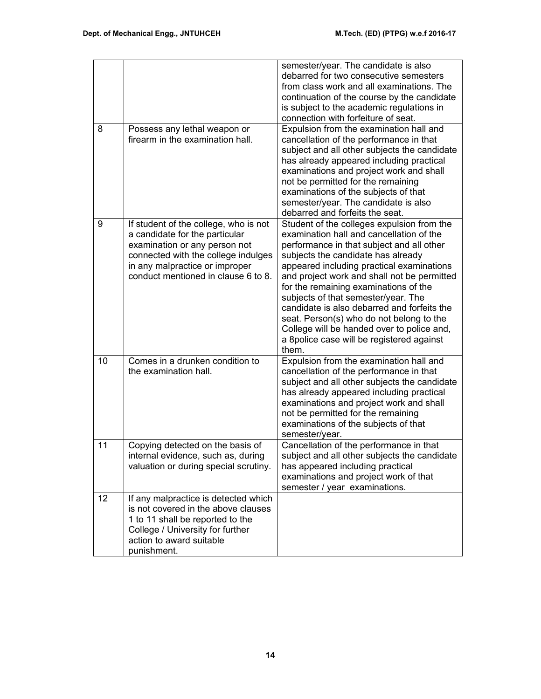|    |                                                                                                                                                                                                                          | semester/year. The candidate is also<br>debarred for two consecutive semesters<br>from class work and all examinations. The<br>continuation of the course by the candidate<br>is subject to the academic regulations in<br>connection with forfeiture of seat.                                                                                                                                                                                                                                                                                       |
|----|--------------------------------------------------------------------------------------------------------------------------------------------------------------------------------------------------------------------------|------------------------------------------------------------------------------------------------------------------------------------------------------------------------------------------------------------------------------------------------------------------------------------------------------------------------------------------------------------------------------------------------------------------------------------------------------------------------------------------------------------------------------------------------------|
| 8  | Possess any lethal weapon or<br>firearm in the examination hall.                                                                                                                                                         | Expulsion from the examination hall and<br>cancellation of the performance in that<br>subject and all other subjects the candidate<br>has already appeared including practical<br>examinations and project work and shall<br>not be permitted for the remaining<br>examinations of the subjects of that<br>semester/year. The candidate is also<br>debarred and forfeits the seat.                                                                                                                                                                   |
| 9  | If student of the college, who is not<br>a candidate for the particular<br>examination or any person not<br>connected with the college indulges<br>in any malpractice or improper<br>conduct mentioned in clause 6 to 8. | Student of the colleges expulsion from the<br>examination hall and cancellation of the<br>performance in that subject and all other<br>subjects the candidate has already<br>appeared including practical examinations<br>and project work and shall not be permitted<br>for the remaining examinations of the<br>subjects of that semester/year. The<br>candidate is also debarred and forfeits the<br>seat. Person(s) who do not belong to the<br>College will be handed over to police and,<br>a 8police case will be registered against<br>them. |
| 10 | Comes in a drunken condition to<br>the examination hall.                                                                                                                                                                 | Expulsion from the examination hall and<br>cancellation of the performance in that<br>subject and all other subjects the candidate<br>has already appeared including practical<br>examinations and project work and shall<br>not be permitted for the remaining<br>examinations of the subjects of that<br>semester/year.                                                                                                                                                                                                                            |
| 11 | Copying detected on the basis of<br>internal evidence, such as, during<br>valuation or during special scrutiny.                                                                                                          | Cancellation of the performance in that<br>subject and all other subjects the candidate<br>has appeared including practical<br>examinations and project work of that<br>semester / year examinations.                                                                                                                                                                                                                                                                                                                                                |
| 12 | If any malpractice is detected which<br>is not covered in the above clauses<br>1 to 11 shall be reported to the<br>College / University for further<br>action to award suitable<br>punishment.                           |                                                                                                                                                                                                                                                                                                                                                                                                                                                                                                                                                      |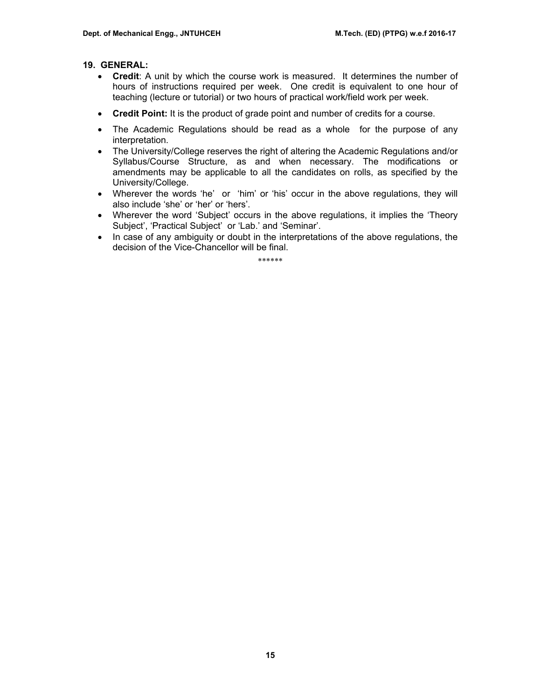# **19. GENERAL:**

- **Credit**: A unit by which the course work is measured. It determines the number of hours of instructions required per week. One credit is equivalent to one hour of teaching (lecture or tutorial) or two hours of practical work/field work per week.
- **Credit Point:** It is the product of grade point and number of credits for a course.
- The Academic Regulations should be read as a whole for the purpose of any interpretation.
- The University/College reserves the right of altering the Academic Regulations and/or Syllabus/Course Structure, as and when necessary. The modifications or amendments may be applicable to all the candidates on rolls, as specified by the University/College.
- Wherever the words 'he' or 'him' or 'his' occur in the above regulations, they will also include 'she' or 'her' or 'hers'.
- Wherever the word 'Subject' occurs in the above regulations, it implies the 'Theory Subject', 'Practical Subject' or 'Lab.' and 'Seminar'.
- In case of any ambiguity or doubt in the interpretations of the above regulations, the decision of the Vice-Chancellor will be final.

\*\*\*\*\*\*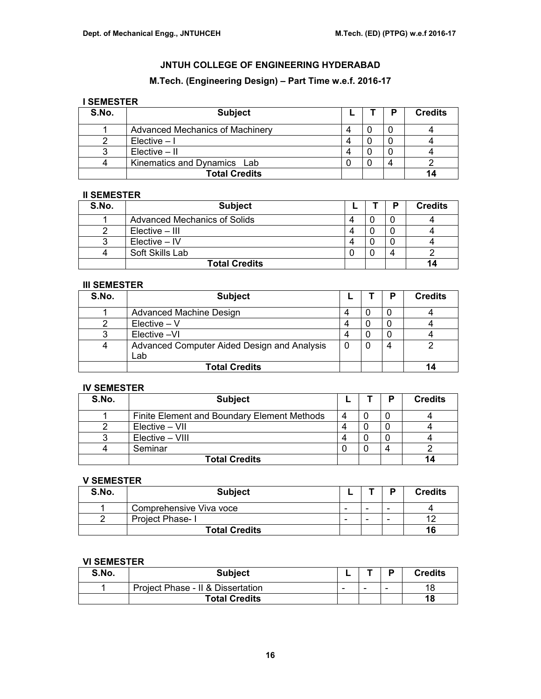# **M.Tech. (Engineering Design) – Part Time w.e.f. 2016-17**

# **I SEMESTER**

| S.No. | <b>Subject</b>                  |  | P | <b>Credits</b> |
|-------|---------------------------------|--|---|----------------|
|       | Advanced Mechanics of Machinery |  |   |                |
|       | $Elective - I$                  |  |   |                |
|       | $Elective - II$                 |  |   |                |
|       | Kinematics and Dynamics Lab     |  |   |                |
|       | <b>Total Credits</b>            |  |   |                |

# **II SEMESTER**

| S.No. | <b>Subject</b>               |   | D | <b>Credits</b> |
|-------|------------------------------|---|---|----------------|
|       | Advanced Mechanics of Solids | Δ |   |                |
|       | Elective – III               |   |   |                |
|       | $Electric - IV$              | Δ |   |                |
|       | Soft Skills Lab              |   | 4 |                |
|       | <b>Total Credits</b>         |   |   |                |

## **III SEMESTER**

| S.No. | <b>Subject</b>                                     |  | P | <b>Credits</b> |
|-------|----------------------------------------------------|--|---|----------------|
|       | Advanced Machine Design                            |  |   |                |
|       | $Electric - V$                                     |  |   |                |
|       | Elective -VI                                       |  |   |                |
|       | Advanced Computer Aided Design and Analysis<br>Lab |  |   |                |
|       | <b>Total Credits</b>                               |  |   |                |

## **IV SEMESTER**

| S.No. | <b>Subject</b>                              |   | P | <b>Credits</b> |
|-------|---------------------------------------------|---|---|----------------|
|       | Finite Element and Boundary Element Methods | 4 |   |                |
|       | Elective – VII                              | 4 |   |                |
|       | Elective – VIII                             | Δ |   |                |
|       | Seminar                                     |   |   |                |
|       | <b>Total Credits</b>                        |   |   |                |

# **V SEMESTER**

| S.No. | <b>Subject</b>          |                          |                          | D | <b>Credits</b> |
|-------|-------------------------|--------------------------|--------------------------|---|----------------|
|       | Comprehensive Viva voce | $\overline{\phantom{0}}$ | $\overline{\phantom{a}}$ |   |                |
|       | Project Phase-I         | $\overline{\phantom{a}}$ | $\overline{\phantom{a}}$ |   |                |
|       | <b>Total Credits</b>    |                          |                          |   | 16             |

## **VI SEMESTER**

| S.No. | <b>Subject</b>                    |   |                          | D                        | <b>Credits</b> |
|-------|-----------------------------------|---|--------------------------|--------------------------|----------------|
|       | Project Phase - II & Dissertation | - | $\overline{\phantom{a}}$ | $\overline{\phantom{0}}$ | 18             |
|       | <b>Total Credits</b>              |   |                          |                          | 18             |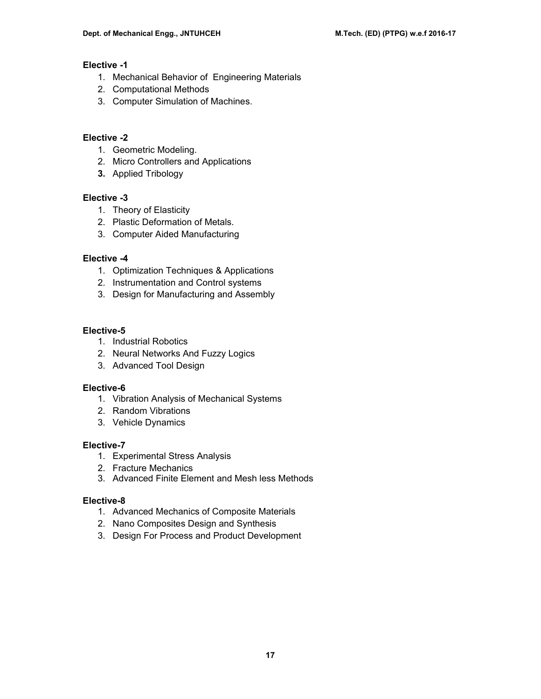# **Elective -1**

- 1. Mechanical Behavior of Engineering Materials
- 2. Computational Methods
- 3. Computer Simulation of Machines.

# **Elective -2**

- 1. Geometric Modeling.
- 2. Micro Controllers and Applications
- **3.** Applied Tribology

# **Elective -3**

- 1. Theory of Elasticity
- 2. Plastic Deformation of Metals.
- 3. Computer Aided Manufacturing

# **Elective -4**

- 1. Optimization Techniques & Applications
- 2. Instrumentation and Control systems
- 3. Design for Manufacturing and Assembly

# **Elective-5**

- 1. Industrial Robotics
- 2. Neural Networks And Fuzzy Logics
- 3. Advanced Tool Design

# **Elective-6**

- 1. Vibration Analysis of Mechanical Systems
- 2. Random Vibrations
- 3. Vehicle Dynamics

# **Elective-7**

- 1. Experimental Stress Analysis
- 2. Fracture Mechanics
- 3. Advanced Finite Element and Mesh less Methods

# **Elective-8**

- 1. Advanced Mechanics of Composite Materials
- 2. Nano Composites Design and Synthesis
- 3. Design For Process and Product Development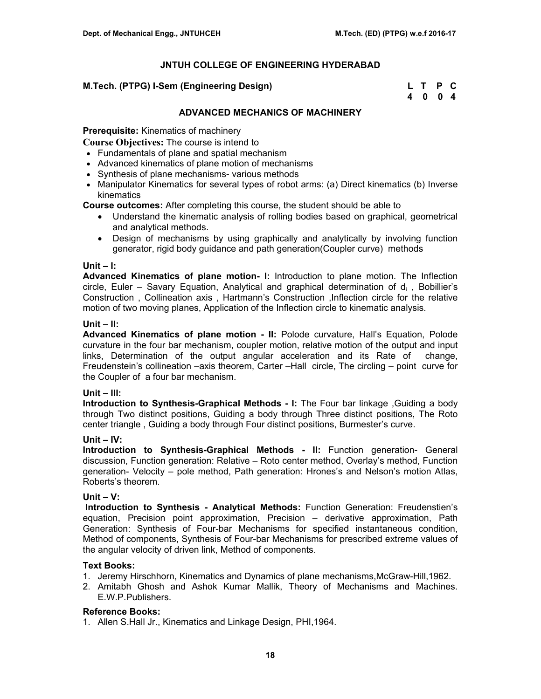## **M.Tech. (PTPG) I-Sem (Engineering Design)**

| M.Tech. (PTPG) I-Sem (Engineering Design) | L T P C |  |
|-------------------------------------------|---------|--|
|                                           | 4004    |  |

# **ADVANCED MECHANICS OF MACHINERY**

**Prerequisite:** Kinematics of machinery

**Course Objectives:** The course is intend to

- Fundamentals of plane and spatial mechanism
- Advanced kinematics of plane motion of mechanisms
- Synthesis of plane mechanisms- various methods
- Manipulator Kinematics for several types of robot arms: (a) Direct kinematics (b) Inverse kinematics

**Course outcomes:** After completing this course, the student should be able to

- Understand the kinematic analysis of rolling bodies based on graphical, geometrical and analytical methods.
- Design of mechanisms by using graphically and analytically by involving function generator, rigid body guidance and path generation(Coupler curve) methods

## **Unit – I:**

**Advanced Kinematics of plane motion- I:** Introduction to plane motion. The Inflection circle, Euler – Savary Equation, Analytical and graphical determination of  $d_i$ , Bobillier's Construction , Collineation axis , Hartmann's Construction ,Inflection circle for the relative motion of two moving planes, Application of the Inflection circle to kinematic analysis.

#### **Unit – II:**

**Advanced Kinematics of plane motion - II:** Polode curvature, Hall's Equation, Polode curvature in the four bar mechanism, coupler motion, relative motion of the output and input links, Determination of the output angular acceleration and its Rate of change, Freudenstein's collineation –axis theorem, Carter –Hall circle, The circling – point curve for the Coupler of a four bar mechanism.

## **Unit – III:**

**Introduction to Synthesis-Graphical Methods - I:** The Four bar linkage ,Guiding a body through Two distinct positions, Guiding a body through Three distinct positions, The Roto center triangle , Guiding a body through Four distinct positions, Burmester's curve.

## **Unit – IV:**

**Introduction to Synthesis-Graphical Methods - II:** Function generation- General discussion, Function generation: Relative – Roto center method, Overlay's method, Function generation- Velocity – pole method, Path generation: Hrones's and Nelson's motion Atlas, Roberts's theorem.

## **Unit – V:**

 **Introduction to Synthesis - Analytical Methods:** Function Generation: Freudenstien's equation, Precision point approximation, Precision – derivative approximation, Path Generation: Synthesis of Four-bar Mechanisms for specified instantaneous condition, Method of components, Synthesis of Four-bar Mechanisms for prescribed extreme values of the angular velocity of driven link, Method of components.

## **Text Books:**

- 1. Jeremy Hirschhorn, Kinematics and Dynamics of plane mechanisms,McGraw-Hill,1962.
- 2. Amitabh Ghosh and Ashok Kumar Mallik, Theory of Mechanisms and Machines. E.W.P.Publishers.

## **Reference Books:**

1. Allen S.Hall Jr., Kinematics and Linkage Design, PHI,1964.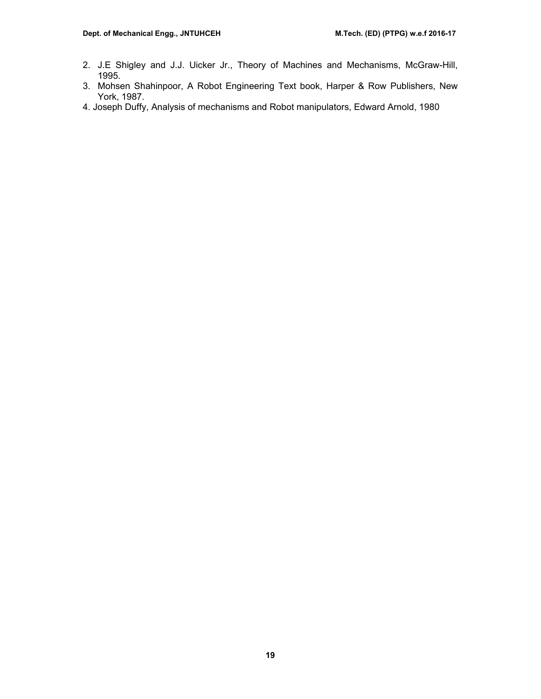- 2. J.E Shigley and J.J. Uicker Jr., Theory of Machines and Mechanisms, McGraw-Hill, 1995.
- 3. Mohsen Shahinpoor, A Robot Engineering Text book, Harper & Row Publishers, New York, 1987.
- 4. Joseph Duffy, Analysis of mechanisms and Robot manipulators, Edward Arnold, 1980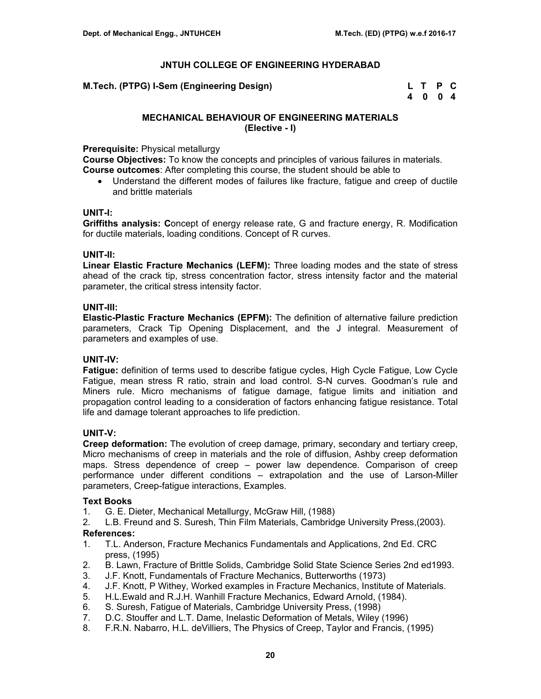**M.Tech. (PTPG) I-Sem (Engineering Design)** 

| M.Tech. (PTPG) I-Sem (Engineering Design) | L T P C |  |
|-------------------------------------------|---------|--|
|                                           | 4004    |  |

# **MECHANICAL BEHAVIOUR OF ENGINEERING MATERIALS (Elective - I)**

# **Prerequisite:** Physical metallurgy

**Course Objectives:** To know the concepts and principles of various failures in materials. **Course outcomes**: After completing this course, the student should be able to

• Understand the different modes of failures like fracture, fatigue and creep of ductile and brittle materials

## **UNIT-I:**

**Griffiths analysis: C**oncept of energy release rate, G and fracture energy, R. Modification for ductile materials, loading conditions. Concept of R curves.

# **UNIT-II:**

**Linear Elastic Fracture Mechanics (LEFM):** Three loading modes and the state of stress ahead of the crack tip, stress concentration factor, stress intensity factor and the material parameter, the critical stress intensity factor.

# **UNIT-III:**

**Elastic-Plastic Fracture Mechanics (EPFM):** The definition of alternative failure prediction parameters, Crack Tip Opening Displacement, and the J integral. Measurement of parameters and examples of use.

# **UNIT-IV:**

**Fatigue:** definition of terms used to describe fatigue cycles, High Cycle Fatigue, Low Cycle Fatigue, mean stress R ratio, strain and load control. S-N curves. Goodman's rule and Miners rule. Micro mechanisms of fatigue damage, fatigue limits and initiation and propagation control leading to a consideration of factors enhancing fatigue resistance. Total life and damage tolerant approaches to life prediction.

## **UNIT-V:**

**Creep deformation:** The evolution of creep damage, primary, secondary and tertiary creep, Micro mechanisms of creep in materials and the role of diffusion, Ashby creep deformation maps. Stress dependence of creep – power law dependence. Comparison of creep performance under different conditions – extrapolation and the use of Larson-Miller parameters, Creep-fatigue interactions, Examples.

## **Text Books**

- 1. G. E. Dieter, Mechanical Metallurgy, McGraw Hill, (1988)
- 2. L.B. Freund and S. Suresh, Thin Film Materials, Cambridge University Press,(2003).

- 1. T.L. Anderson, Fracture Mechanics Fundamentals and Applications, 2nd Ed. CRC press, (1995)
- 2. B. Lawn, Fracture of Brittle Solids, Cambridge Solid State Science Series 2nd ed1993.
- 3. J.F. Knott, Fundamentals of Fracture Mechanics, Butterworths (1973)
- 4. J.F. Knott, P Withey, Worked examples in Fracture Mechanics, Institute of Materials.
- 5. H.L.Ewald and R.J.H. Wanhill Fracture Mechanics, Edward Arnold, (1984).
- 6. S. Suresh, Fatigue of Materials, Cambridge University Press, (1998)
- 7. D.C. Stouffer and L.T. Dame, Inelastic Deformation of Metals, Wiley (1996)
- 8. F.R.N. Nabarro, H.L. deVilliers, The Physics of Creep, Taylor and Francis, (1995)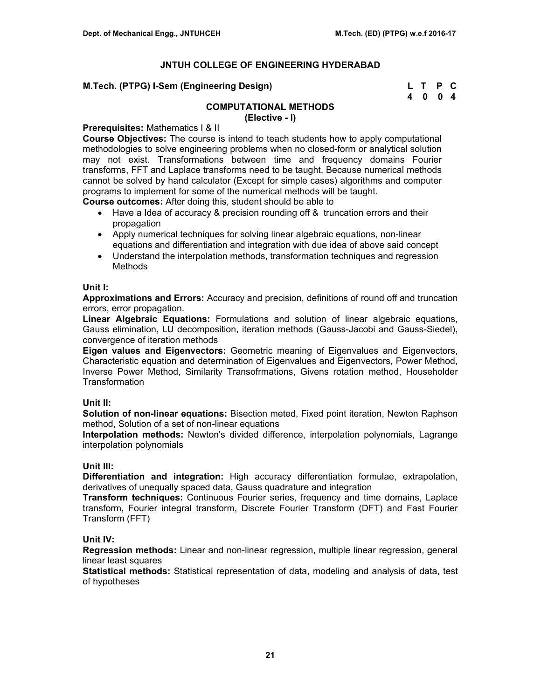| M.Tech. (PTPG) I-Sem (Engineering Design) | L T P C |  |
|-------------------------------------------|---------|--|
|                                           | 4 0 0 4 |  |

# **COMPUTATIONAL METHODS**

**(Elective - I)**

# **Prerequisites:** Mathematics I & II

**Course Objectives:** The course is intend to teach students how to apply computational methodologies to solve engineering problems when no closed-form or analytical solution may not exist. Transformations between time and frequency domains Fourier transforms, FFT and Laplace transforms need to be taught. Because numerical methods cannot be solved by hand calculator (Except for simple cases) algorithms and computer programs to implement for some of the numerical methods will be taught.

**Course outcomes:** After doing this, student should be able to

- Have a Idea of accuracy & precision rounding off & truncation errors and their propagation
- Apply numerical techniques for solving linear algebraic equations, non-linear equations and differentiation and integration with due idea of above said concept
- Understand the interpolation methods, transformation techniques and regression Methods

# **Unit I:**

**Approximations and Errors:** Accuracy and precision, definitions of round off and truncation errors, error propagation.

**Linear Algebraic Equations:** Formulations and solution of linear algebraic equations, Gauss elimination, LU decomposition, iteration methods (Gauss-Jacobi and Gauss-Siedel), convergence of iteration methods

**Eigen values and Eigenvectors:** Geometric meaning of Eigenvalues and Eigenvectors, Characteristic equation and determination of Eigenvalues and Eigenvectors, Power Method, Inverse Power Method, Similarity Transofrmations, Givens rotation method, Householder Transformation

## **Unit II:**

**Solution of non-linear equations:** Bisection meted, Fixed point iteration, Newton Raphson method, Solution of a set of non-linear equations

**Interpolation methods:** Newton's divided difference, interpolation polynomials, Lagrange interpolation polynomials

## **Unit III:**

**Differentiation and integration:** High accuracy differentiation formulae, extrapolation, derivatives of unequally spaced data, Gauss quadrature and integration

**Transform techniques:** Continuous Fourier series, frequency and time domains, Laplace transform, Fourier integral transform, Discrete Fourier Transform (DFT) and Fast Fourier Transform (FFT)

# **Unit IV:**

**Regression methods:** Linear and non-linear regression, multiple linear regression, general linear least squares

**Statistical methods:** Statistical representation of data, modeling and analysis of data, test of hypotheses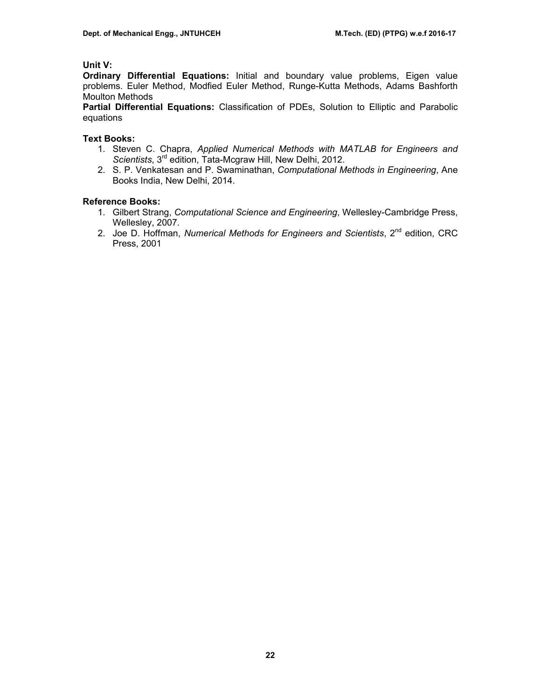# **Unit V:**

**Ordinary Differential Equations:** Initial and boundary value problems, Eigen value problems. Euler Method, Modfied Euler Method, Runge-Kutta Methods, Adams Bashforth Moulton Methods

**Partial Differential Equations:** Classification of PDEs, Solution to Elliptic and Parabolic equations

# **Text Books:**

- 1. Steven C. Chapra, *Applied Numerical Methods with MATLAB for Engineers and Scientists*, 3rd edition, Tata-Mcgraw Hill, New Delhi, 2012.
- 2. S. P. Venkatesan and P. Swaminathan, *Computational Methods in Engineering*, Ane Books India, New Delhi, 2014.

# **Reference Books:**

- 1. Gilbert Strang, *Computational Science and Engineering*, Wellesley-Cambridge Press, Wellesley, 2007.
- 2. Joe D. Hoffman, *Numerical Methods for Engineers and Scientists*, 2nd edition, CRC Press, 2001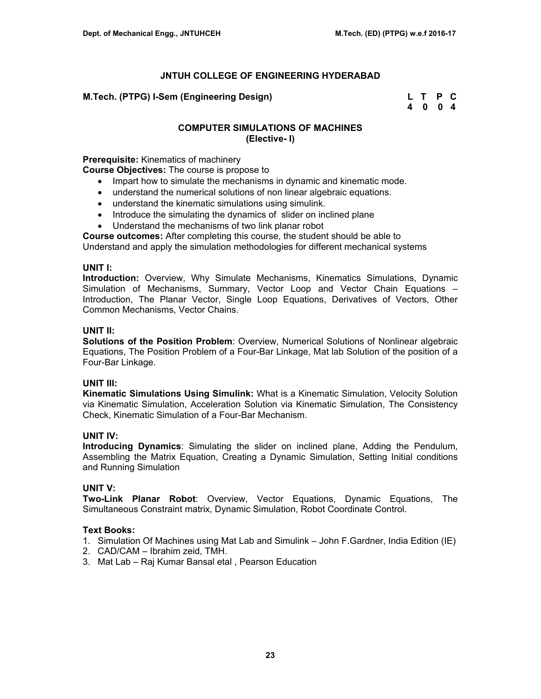# **M.Tech. (PTPG) I-Sem (Engineering Design) L T P C**

 **4 0 0 4** 

# **COMPUTER SIMULATIONS OF MACHINES (Elective- I)**

**Prerequisite:** Kinematics of machinery

**Course Objectives:** The course is propose to

- Impart how to simulate the mechanisms in dynamic and kinematic mode.
- understand the numerical solutions of non linear algebraic equations.
- understand the kinematic simulations using simulink.
- Introduce the simulating the dynamics of slider on inclined plane
- Understand the mechanisms of two link planar robot

**Course outcomes:** After completing this course, the student should be able to

Understand and apply the simulation methodologies for different mechanical systems

# **UNIT I:**

**Introduction:** Overview, Why Simulate Mechanisms, Kinematics Simulations, Dynamic Simulation of Mechanisms, Summary, Vector Loop and Vector Chain Equations – Introduction, The Planar Vector, Single Loop Equations, Derivatives of Vectors, Other Common Mechanisms, Vector Chains.

# **UNIT II:**

**Solutions of the Position Problem**: Overview, Numerical Solutions of Nonlinear algebraic Equations, The Position Problem of a Four-Bar Linkage, Mat lab Solution of the position of a Four-Bar Linkage.

# **UNIT III:**

**Kinematic Simulations Using Simulink:** What is a Kinematic Simulation, Velocity Solution via Kinematic Simulation, Acceleration Solution via Kinematic Simulation, The Consistency Check, Kinematic Simulation of a Four-Bar Mechanism.

## **UNIT IV:**

**Introducing Dynamics**: Simulating the slider on inclined plane, Adding the Pendulum, Assembling the Matrix Equation, Creating a Dynamic Simulation, Setting Initial conditions and Running Simulation

## **UNIT V:**

**Two-Link Planar Robot**: Overview, Vector Equations, Dynamic Equations, The Simultaneous Constraint matrix, Dynamic Simulation, Robot Coordinate Control.

# **Text Books:**

- 1. Simulation Of Machines using Mat Lab and Simulink John F.Gardner, India Edition (IE)
- 2. CAD/CAM Ibrahim zeid, TMH.
- 3. Mat Lab Raj Kumar Bansal etal , Pearson Education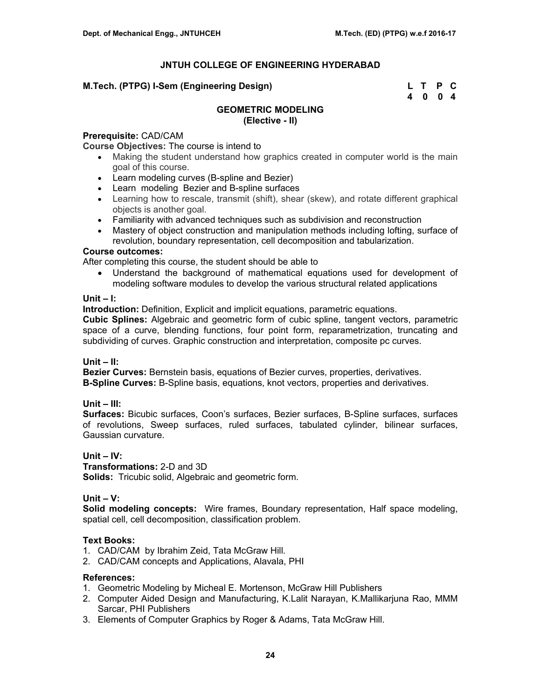# **M.Tech. (PTPG) I-Sem (Engineering Design)**

| M.Tech. (PTPG) I-Sem (Engineering Design) | L T P C |  |
|-------------------------------------------|---------|--|
|                                           | 4004    |  |

# **GEOMETRIC MODELING**

**(Elective - II)**

# **Prerequisite:** CAD/CAM

**Course Objectives:** The course is intend to

- Making the student understand how graphics created in computer world is the main goal of this course.
- Learn modeling curves (B-spline and Bezier)
- Learn modeling Bezier and B-spline surfaces
- Learning how to rescale, transmit (shift), shear (skew), and rotate different graphical objects is another goal.
- Familiarity with advanced techniques such as subdivision and reconstruction
- Mastery of object construction and manipulation methods including lofting, surface of revolution, boundary representation, cell decomposition and tabularization.

# **Course outcomes:**

After completing this course, the student should be able to

• Understand the background of mathematical equations used for development of modeling software modules to develop the various structural related applications

## **Unit – I:**

**Introduction:** Definition, Explicit and implicit equations, parametric equations.

**Cubic Splines:** Algebraic and geometric form of cubic spline, tangent vectors, parametric space of a curve, blending functions, four point form, reparametrization, truncating and subdividing of curves. Graphic construction and interpretation, composite pc curves.

## **Unit – II:**

**Bezier Curves:** Bernstein basis, equations of Bezier curves, properties, derivatives. **B-Spline Curves:** B-Spline basis, equations, knot vectors, properties and derivatives.

## **Unit – III:**

**Surfaces:** Bicubic surfaces, Coon's surfaces, Bezier surfaces, B-Spline surfaces, surfaces of revolutions, Sweep surfaces, ruled surfaces, tabulated cylinder, bilinear surfaces, Gaussian curvature.

# **Unit – IV:**

**Transformations:** 2-D and 3D **Solids:** Tricubic solid, Algebraic and geometric form.

## **Unit – V:**

**Solid modeling concepts:** Wire frames, Boundary representation, Half space modeling, spatial cell, cell decomposition, classification problem.

# **Text Books:**

- 1. CAD/CAM by Ibrahim Zeid, Tata McGraw Hill.
- 2. CAD/CAM concepts and Applications, Alavala, PHI

- 1. Geometric Modeling by Micheal E. Mortenson, McGraw Hill Publishers
- 2. Computer Aided Design and Manufacturing, K.Lalit Narayan, K.Mallikarjuna Rao, MMM Sarcar, PHI Publishers
- 3. Elements of Computer Graphics by Roger & Adams, Tata McGraw Hill.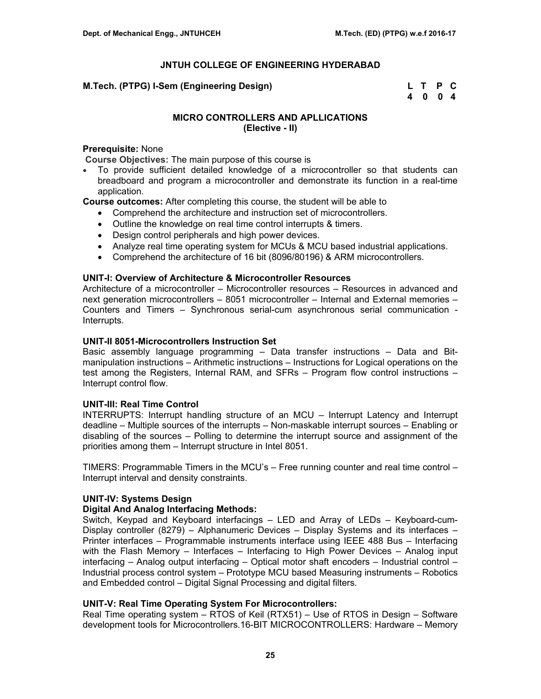| M.Tech. (PTPG) I-Sem (Engineering Design) | L T P C |  |
|-------------------------------------------|---------|--|
|                                           | 4004    |  |

# **MICRO CONTROLLERS AND APLLICATIONS (Elective - II)**

## **Prerequisite:** None

**Course Objectives:** The main purpose of this course is

• To provide sufficient detailed knowledge of a microcontroller so that students can breadboard and program a microcontroller and demonstrate its function in a real-time application.

**Course outcomes:** After completing this course, the student will be able to

- Comprehend the architecture and instruction set of microcontrollers.
- Outline the knowledge on real time control interrupts & timers.
- Design control peripherals and high power devices.
- Analyze real time operating system for MCUs & MCU based industrial applications.
- Comprehend the architecture of 16 bit (8096/80196) & ARM microcontrollers.

# **UNIT-I: Overview of Architecture & Microcontroller Resources**

Architecture of a microcontroller – Microcontroller resources – Resources in advanced and next generation microcontrollers – 8051 microcontroller – Internal and External memories – Counters and Timers – Synchronous serial-cum asynchronous serial communication - Interrupts.

# **UNIT-II 8051-Microcontrollers Instruction Set**

Basic assembly language programming – Data transfer instructions – Data and Bitmanipulation instructions – Arithmetic instructions – Instructions for Logical operations on the test among the Registers, Internal RAM, and SFRs – Program flow control instructions – Interrupt control flow.

## **UNIT-III: Real Time Control**

INTERRUPTS: Interrupt handling structure of an MCU – Interrupt Latency and Interrupt deadline – Multiple sources of the interrupts – Non-maskable interrupt sources – Enabling or disabling of the sources – Polling to determine the interrupt source and assignment of the priorities among them – Interrupt structure in Intel 8051.

TIMERS: Programmable Timers in the MCU's – Free running counter and real time control – Interrupt interval and density constraints.

# **UNIT-IV: Systems Design**

# **Digital And Analog Interfacing Methods:**

Switch, Keypad and Keyboard interfacings – LED and Array of LEDs – Keyboard-cum-Display controller (8279) – Alphanumeric Devices – Display Systems and its interfaces – Printer interfaces – Programmable instruments interface using IEEE 488 Bus – Interfacing with the Flash Memory – Interfaces – Interfacing to High Power Devices – Analog input interfacing – Analog output interfacing – Optical motor shaft encoders – Industrial control – Industrial process control system – Prototype MCU based Measuring instruments – Robotics and Embedded control – Digital Signal Processing and digital filters.

# **UNIT-V: Real Time Operating System For Microcontrollers:**

Real Time operating system – RTOS of Keil (RTX51) – Use of RTOS in Design – Software development tools for Microcontrollers.16-BIT MICROCONTROLLERS: Hardware – Memory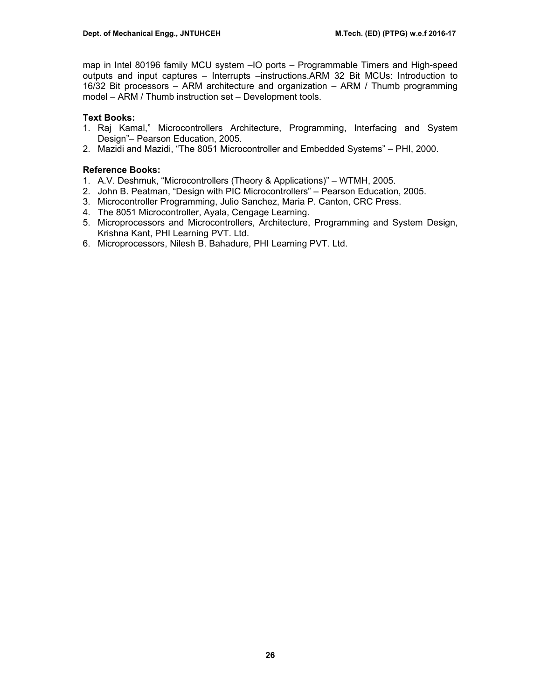map in Intel 80196 family MCU system –IO ports – Programmable Timers and High-speed outputs and input captures – Interrupts –instructions.ARM 32 Bit MCUs: Introduction to 16/32 Bit processors – ARM architecture and organization – ARM / Thumb programming model – ARM / Thumb instruction set – Development tools.

# **Text Books:**

- 1. Raj Kamal," Microcontrollers Architecture, Programming, Interfacing and System Design"– Pearson Education, 2005.
- 2. Mazidi and Mazidi, "The 8051 Microcontroller and Embedded Systems" PHI, 2000.

# **Reference Books:**

- 1. A.V. Deshmuk, "Microcontrollers (Theory & Applications)" WTMH, 2005.
- 2. John B. Peatman, "Design with PIC Microcontrollers" Pearson Education, 2005.
- 3. Microcontroller Programming, Julio Sanchez, Maria P. Canton, CRC Press.
- 4. The 8051 Microcontroller, Ayala, Cengage Learning.
- 5. Microprocessors and Microcontrollers, Architecture, Programming and System Design, Krishna Kant, PHI Learning PVT. Ltd.
- 6. Microprocessors, Nilesh B. Bahadure, PHI Learning PVT. Ltd.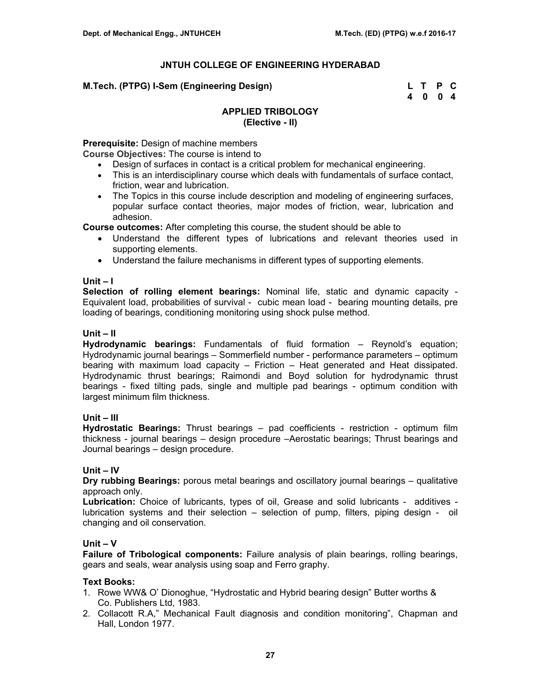| M.Tech. (PTPG) I-Sem (Engineering Design) | L T P C |  |
|-------------------------------------------|---------|--|
|                                           | 4004    |  |

# **APPLIED TRIBOLOGY (Elective - II)**

**Prerequisite:** Design of machine members

**Course Objectives:** The course is intend to

- Design of surfaces in contact is a critical problem for mechanical engineering.
- This is an interdisciplinary course which deals with fundamentals of surface contact, friction, wear and lubrication.
- The Topics in this course include description and modeling of engineering surfaces, popular surface contact theories, major modes of friction, wear, lubrication and adhesion.

**Course outcomes:** After completing this course, the student should be able to

- Understand the different types of lubrications and relevant theories used in supporting elements.
- Understand the failure mechanisms in different types of supporting elements.

## **Unit – I**

**Selection of rolling element bearings:** Nominal life, static and dynamic capacity - Equivalent load, probabilities of survival - cubic mean load - bearing mounting details, pre loading of bearings, conditioning monitoring using shock pulse method.

## **Unit – II**

**Hydrodynamic bearings:** Fundamentals of fluid formation – Reynold's equation; Hydrodynamic journal bearings – Sommerfield number - performance parameters – optimum bearing with maximum load capacity – Friction – Heat generated and Heat dissipated. Hydrodynamic thrust bearings; Raimondi and Boyd solution for hydrodynamic thrust bearings - fixed tilting pads, single and multiple pad bearings - optimum condition with largest minimum film thickness.

## **Unit – III**

**Hydrostatic Bearings:** Thrust bearings – pad coefficients - restriction - optimum film thickness - journal bearings – design procedure –Aerostatic bearings; Thrust bearings and Journal bearings – design procedure.

## **Unit – IV**

**Dry rubbing Bearings:** porous metal bearings and oscillatory journal bearings – qualitative approach only.

**Lubrication:** Choice of lubricants, types of oil, Grease and solid lubricants - additives lubrication systems and their selection – selection of pump, filters, piping design - oil changing and oil conservation.

## **Unit – V**

**Failure of Tribological components:** Failure analysis of plain bearings, rolling bearings, gears and seals, wear analysis using soap and Ferro graphy.

## **Text Books:**

- 1. Rowe WW& O' Dionoghue, "Hydrostatic and Hybrid bearing design" Butter worths & Co. Publishers Ltd, 1983.
- 2. Collacott R.A," Mechanical Fault diagnosis and condition monitoring", Chapman and Hall, London 1977.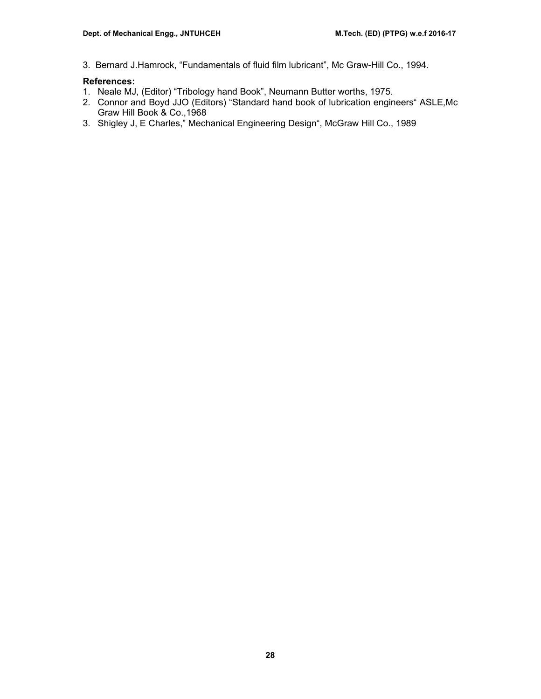3. Bernard J.Hamrock, "Fundamentals of fluid film lubricant", Mc Graw-Hill Co., 1994.

- 1. Neale MJ, (Editor) "Tribology hand Book", Neumann Butter worths, 1975.
- 2. Connor and Boyd JJO (Editors) "Standard hand book of lubrication engineers" ASLE,Mc Graw Hill Book & Co.,1968
- 3. Shigley J, E Charles," Mechanical Engineering Design", McGraw Hill Co., 1989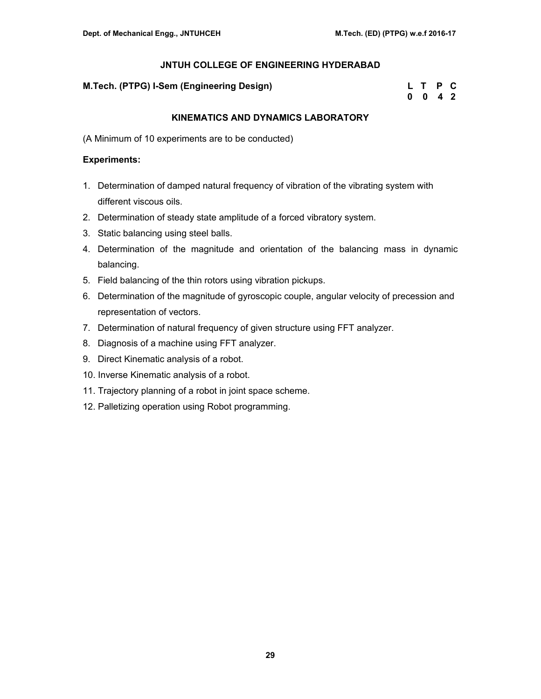# **M.Tech. (PTPG) I-Sem (Engineering Design)**

| M.Tech. (PTPG) I-Sem (Engineering Design) | L T P C         |  |
|-------------------------------------------|-----------------|--|
|                                           | $0 \t0 \t4 \t2$ |  |

# **KINEMATICS AND DYNAMICS LABORATORY**

(A Minimum of 10 experiments are to be conducted)

# **Experiments:**

- 1. Determination of damped natural frequency of vibration of the vibrating system with different viscous oils.
- 2. Determination of steady state amplitude of a forced vibratory system.
- 3. Static balancing using steel balls.
- 4. Determination of the magnitude and orientation of the balancing mass in dynamic balancing.
- 5. Field balancing of the thin rotors using vibration pickups.
- 6. Determination of the magnitude of gyroscopic couple, angular velocity of precession and representation of vectors.
- 7. Determination of natural frequency of given structure using FFT analyzer.
- 8. Diagnosis of a machine using FFT analyzer.
- 9. Direct Kinematic analysis of a robot.
- 10. Inverse Kinematic analysis of a robot.
- 11. Trajectory planning of a robot in joint space scheme.
- 12. Palletizing operation using Robot programming.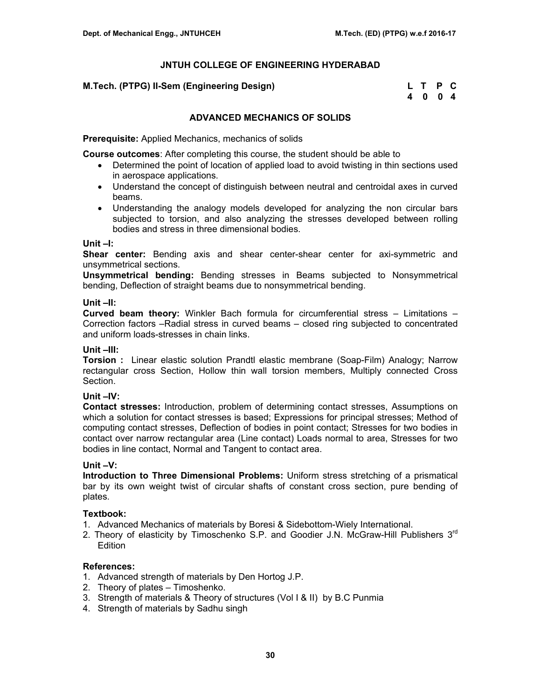# **M.Tech. (PTPG) II-Sem (Engineering Design)**

| M.Tech. (PTPG) II-Sem (Engineering Design) | L T P C |  |
|--------------------------------------------|---------|--|
|                                            | 4004    |  |

# **ADVANCED MECHANICS OF SOLIDS**

**Prerequisite:** Applied Mechanics, mechanics of solids

**Course outcomes**: After completing this course, the student should be able to

- Determined the point of location of applied load to avoid twisting in thin sections used in aerospace applications.
- Understand the concept of distinguish between neutral and centroidal axes in curved beams.
- Understanding the analogy models developed for analyzing the non circular bars subjected to torsion, and also analyzing the stresses developed between rolling bodies and stress in three dimensional bodies.

## **Unit –I:**

**Shear center:** Bending axis and shear center-shear center for axi-symmetric and unsymmetrical sections.

**Unsymmetrical bending:** Bending stresses in Beams subjected to Nonsymmetrical bending, Deflection of straight beams due to nonsymmetrical bending.

# **Unit –II:**

**Curved beam theory:** Winkler Bach formula for circumferential stress – Limitations – Correction factors –Radial stress in curved beams – closed ring subjected to concentrated and uniform loads-stresses in chain links.

# **Unit –III:**

**Torsion :** Linear elastic solution Prandtl elastic membrane (Soap-Film) Analogy; Narrow rectangular cross Section, Hollow thin wall torsion members, Multiply connected Cross Section.

## **Unit –IV:**

**Contact stresses:** Introduction, problem of determining contact stresses, Assumptions on which a solution for contact stresses is based; Expressions for principal stresses; Method of computing contact stresses, Deflection of bodies in point contact; Stresses for two bodies in contact over narrow rectangular area (Line contact) Loads normal to area, Stresses for two bodies in line contact, Normal and Tangent to contact area.

## **Unit –V:**

**Introduction to Three Dimensional Problems:** Uniform stress stretching of a prismatical bar by its own weight twist of circular shafts of constant cross section, pure bending of plates.

## **Textbook:**

- 1. Advanced Mechanics of materials by Boresi & Sidebottom-Wiely International.
- 2. Theory of elasticity by Timoschenko S.P. and Goodier J.N. McGraw-Hill Publishers  $3<sup>rd</sup>$ Edition

- 1. Advanced strength of materials by Den Hortog J.P.
- 2. Theory of plates Timoshenko.
- 3. Strength of materials & Theory of structures (Vol I & II) by B.C Punmia
- 4. Strength of materials by Sadhu singh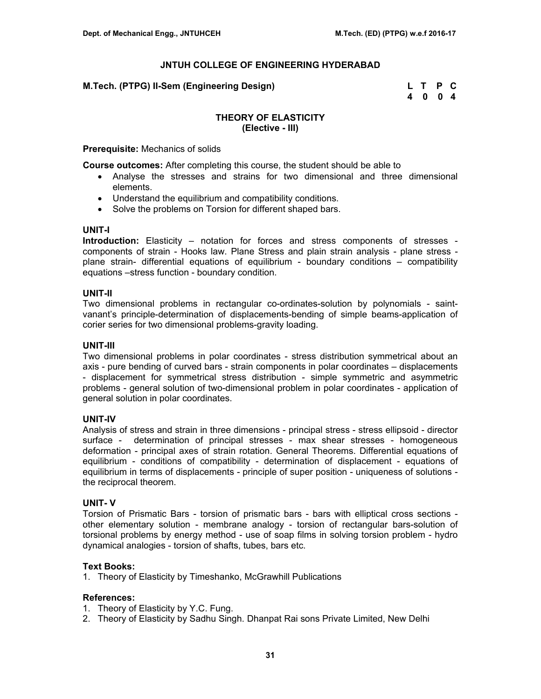**M.Tech. (PTPG) II-Sem (Engineering Design) L T P C** 

 **4 0 0 4** 

# **THEORY OF ELASTICITY (Elective - III)**

**Prerequisite:** Mechanics of solids

**Course outcomes:** After completing this course, the student should be able to

- Analyse the stresses and strains for two dimensional and three dimensional elements.
- Understand the equilibrium and compatibility conditions.
- Solve the problems on Torsion for different shaped bars.

#### **UNIT-I**

**Introduction:** Elasticity – notation for forces and stress components of stresses components of strain - Hooks law. Plane Stress and plain strain analysis - plane stress plane strain- differential equations of equilibrium - boundary conditions – compatibility equations –stress function - boundary condition.

## **UNIT-II**

Two dimensional problems in rectangular co-ordinates-solution by polynomials - saintvanant's principle-determination of displacements-bending of simple beams-application of corier series for two dimensional problems-gravity loading.

## **UNIT-III**

Two dimensional problems in polar coordinates - stress distribution symmetrical about an axis - pure bending of curved bars - strain components in polar coordinates – displacements - displacement for symmetrical stress distribution - simple symmetric and asymmetric problems - general solution of two-dimensional problem in polar coordinates - application of general solution in polar coordinates.

## **UNIT-IV**

Analysis of stress and strain in three dimensions - principal stress - stress ellipsoid - director surface - determination of principal stresses - max shear stresses - homogeneous deformation - principal axes of strain rotation. General Theorems. Differential equations of equilibrium - conditions of compatibility - determination of displacement - equations of equilibrium in terms of displacements - principle of super position - uniqueness of solutions the reciprocal theorem.

## **UNIT- V**

Torsion of Prismatic Bars - torsion of prismatic bars - bars with elliptical cross sections other elementary solution - membrane analogy - torsion of rectangular bars-solution of torsional problems by energy method - use of soap films in solving torsion problem - hydro dynamical analogies - torsion of shafts, tubes, bars etc.

## **Text Books:**

1. Theory of Elasticity by Timeshanko, McGrawhill Publications

- 1. Theory of Elasticity by Y.C. Fung.
- 2. Theory of Elasticity by Sadhu Singh. Dhanpat Rai sons Private Limited, New Delhi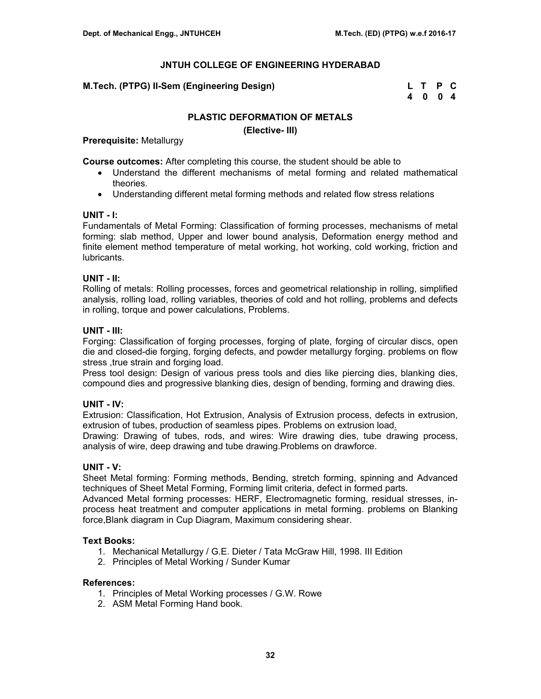# **M.Tech. (PTPG) II-Sem (Engineering Design)**

| M.Tech. (PTPG) II-Sem (Engineering Design) | L T P C |  |
|--------------------------------------------|---------|--|
|                                            | 4004    |  |

# **PLASTIC DEFORMATION OF METALS**

**(Elective- III)**

**Prerequisite:** Metallurgy

**Course outcomes:** After completing this course, the student should be able to

- Understand the different mechanisms of metal forming and related mathematical theories.
- Understanding different metal forming methods and related flow stress relations

# **UNIT - I:**

Fundamentals of Metal Forming: Classification of forming processes, mechanisms of metal forming: slab method, Upper and lower bound analysis, Deformation energy method and finite element method temperature of metal working, hot working, cold working, friction and lubricants.

# **UNIT - II:**

Rolling of metals: Rolling processes, forces and geometrical relationship in rolling, simplified analysis, rolling load, rolling variables, theories of cold and hot rolling, problems and defects in rolling, torque and power calculations, Problems.

# **UNIT - III:**

Forging: Classification of forging processes, forging of plate, forging of circular discs, open die and closed-die forging, forging defects, and powder metallurgy forging. problems on flow stress ,true strain and forging load.

Press tool design: Design of various press tools and dies like piercing dies, blanking dies, compound dies and progressive blanking dies, design of bending, forming and drawing dies.

# **UNIT - IV:**

Extrusion: Classification, Hot Extrusion, Analysis of Extrusion process, defects in extrusion, extrusion of tubes, production of seamless pipes. Problems on extrusion load.

Drawing: Drawing of tubes, rods, and wires: Wire drawing dies, tube drawing process, analysis of wire, deep drawing and tube drawing.Problems on drawforce.

## **UNIT - V:**

Sheet Metal forming: Forming methods, Bending, stretch forming, spinning and Advanced techniques of Sheet Metal Forming, Forming limit criteria, defect in formed parts.

Advanced Metal forming processes: HERF, Electromagnetic forming, residual stresses, inprocess heat treatment and computer applications in metal forming. problems on Blanking force,Blank diagram in Cup Diagram, Maximum considering shear.

## **Text Books:**

- 1. Mechanical Metallurgy / G.E. Dieter / Tata McGraw Hill, 1998. III Edition
- 2. Principles of Metal Working / Sunder Kumar

- 1. Principles of Metal Working processes / G.W. Rowe
- 2. ASM Metal Forming Hand book.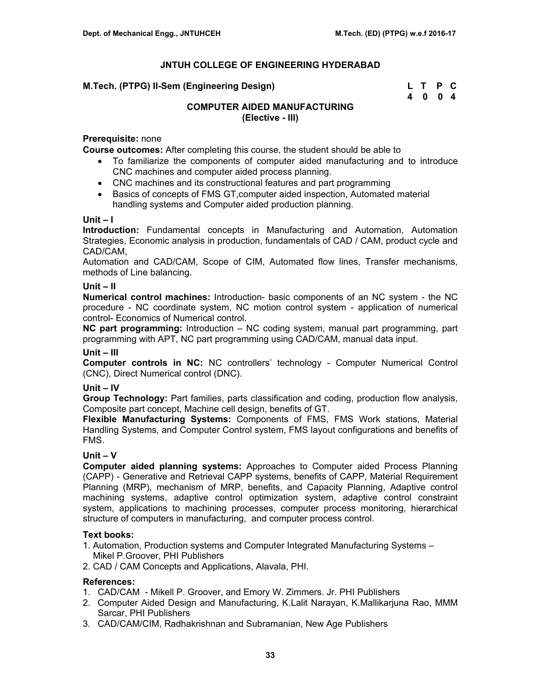| M.Tech. (PTPG) II-Sem (Engineering Design) | L T P C |  |
|--------------------------------------------|---------|--|
|                                            | 4004    |  |

# **COMPUTER AIDED MANUFACTURING (Elective - III)**

# **Prerequisite:** none

**Course outcomes:** After completing this course, the student should be able to

- To familiarize the components of computer aided manufacturing and to introduce CNC machines and computer aided process planning.
- CNC machines and its constructional features and part programming
- Basics of concepts of FMS GT,computer aided inspection, Automated material handling systems and Computer aided production planning.

## **Unit – I**

**Introduction:** Fundamental concepts in Manufacturing and Automation, Automation Strategies, Economic analysis in production, fundamentals of CAD / CAM, product cycle and CAD/CAM,

Automation and CAD/CAM, Scope of CIM, Automated flow lines, Transfer mechanisms, methods of Line balancing.

## **Unit – II**

**Numerical control machines:** Introduction- basic components of an NC system - the NC procedure - NC coordinate system, NC motion control system - application of numerical control- Economics of Numerical control.

**NC part programming:** Introduction – NC coding system, manual part programming, part programming with APT, NC part programming using CAD/CAM, manual data input.

## **Unit – III**

**Computer controls in NC:** NC controllers' technology - Computer Numerical Control (CNC), Direct Numerical control (DNC).

## **Unit – IV**

**Group Technology:** Part families, parts classification and coding, production flow analysis, Composite part concept, Machine cell design, benefits of GT.

**Flexible Manufacturing Systems:** Components of FMS, FMS Work stations, Material Handling Systems, and Computer Control system, FMS layout configurations and benefits of FMS.

## **Unit – V**

**Computer aided planning systems:** Approaches to Computer aided Process Planning (CAPP) - Generative and Retrieval CAPP systems, benefits of CAPP, Material Requirement Planning (MRP), mechanism of MRP, benefits, and Capacity Planning, Adaptive control machining systems, adaptive control optimization system, adaptive control constraint system, applications to machining processes, computer process monitoring, hierarchical structure of computers in manufacturing, and computer process control.

## **Text books:**

- 1. Automation, Production systems and Computer Integrated Manufacturing Systems Mikel P.Groover, PHI Publishers
- 2. CAD / CAM Concepts and Applications, Alavala, PHI.

- 1. CAD/CAM Mikell P. Groover, and Emory W. Zimmers. Jr. PHI Publishers
- 2. Computer Aided Design and Manufacturing, K.Lalit Narayan, K.Mallikarjuna Rao, MMM Sarcar, PHI Publishers
- 3. CAD/CAM/CIM, Radhakrishnan and Subramanian, New Age Publishers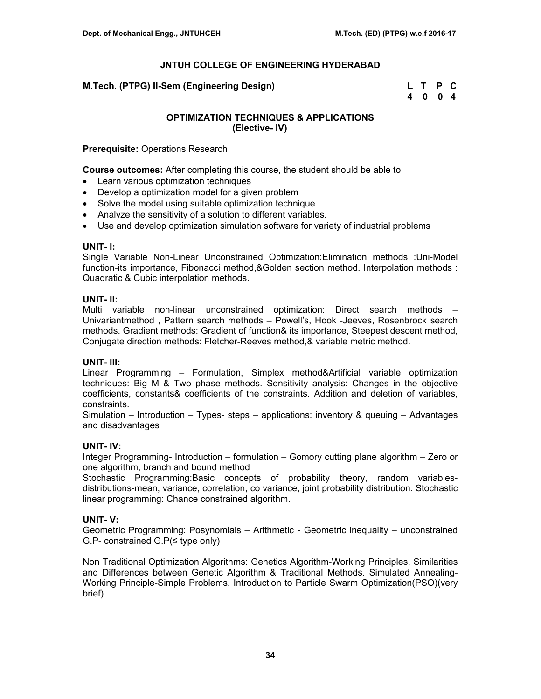**M.Tech. (PTPG) II-Sem (Engineering Design)** 

| M.Tech. (PTPG) II-Sem (Engineering Design) | L T P C |  |
|--------------------------------------------|---------|--|
|                                            | 4 0 0 4 |  |

# **OPTIMIZATION TECHNIQUES & APPLICATIONS (Elective- IV)**

**Prerequisite:** Operations Research

**Course outcomes:** After completing this course, the student should be able to

- Learn various optimization techniques
- Develop a optimization model for a given problem
- Solve the model using suitable optimization technique.
- Analyze the sensitivity of a solution to different variables.
- Use and develop optimization simulation software for variety of industrial problems

## **UNIT- I:**

Single Variable Non-Linear Unconstrained Optimization:Elimination methods :Uni-Model function-its importance, Fibonacci method,&Golden section method. Interpolation methods : Quadratic & Cubic interpolation methods.

## **UNIT- II:**

Multi variable non-linear unconstrained optimization: Direct search methods – Univariantmethod , Pattern search methods – Powell's, Hook -Jeeves, Rosenbrock search methods. Gradient methods: Gradient of function& its importance, Steepest descent method, Conjugate direction methods: Fletcher-Reeves method,& variable metric method.

## **UNIT- III:**

Linear Programming – Formulation, Simplex method&Artificial variable optimization techniques: Big M & Two phase methods. Sensitivity analysis: Changes in the objective coefficients, constants& coefficients of the constraints. Addition and deletion of variables, constraints.

Simulation – Introduction – Types- steps – applications: inventory & queuing – Advantages and disadvantages

## **UNIT- IV:**

Integer Programming- Introduction – formulation – Gomory cutting plane algorithm – Zero or one algorithm, branch and bound method

Stochastic Programming:Basic concepts of probability theory, random variablesdistributions-mean, variance, correlation, co variance, joint probability distribution. Stochastic linear programming: Chance constrained algorithm.

## **UNIT- V:**

Geometric Programming: Posynomials – Arithmetic - Geometric inequality – unconstrained G.P- constrained G.P(≤ type only)

Non Traditional Optimization Algorithms: Genetics Algorithm-Working Principles, Similarities and Differences between Genetic Algorithm & Traditional Methods. Simulated Annealing-Working Principle-Simple Problems. Introduction to Particle Swarm Optimization(PSO)(very brief)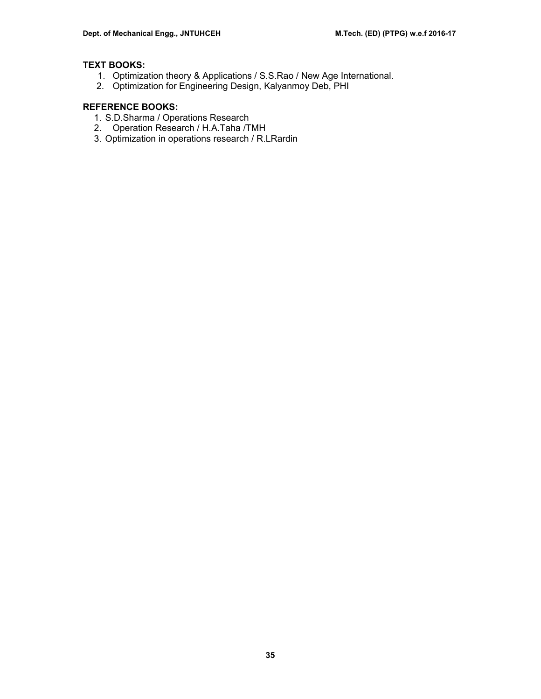# **TEXT BOOKS:**

- 1. Optimization theory & Applications / S.S.Rao / New Age International.
- 2. Optimization for Engineering Design, Kalyanmoy Deb, PHI

# **REFERENCE BOOKS:**

- 1. S.D.Sharma / Operations Research
- 2. Operation Research / H.A.Taha /TMH
- 3. Optimization in operations research / R.LRardin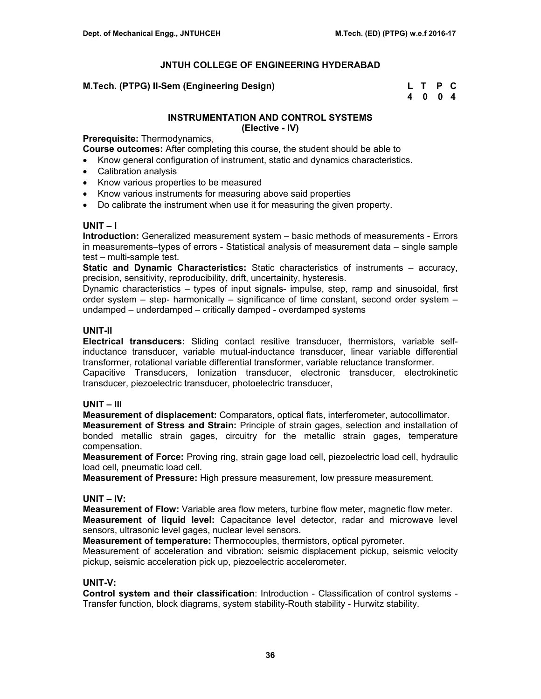# **M.Tech. (PTPG) II-Sem (Engineering Design)**

| M.Tech. (PTPG) II-Sem (Engineering Design) | L T P C |  |
|--------------------------------------------|---------|--|
|                                            | 4004    |  |

# **INSTRUMENTATION AND CONTROL SYSTEMS (Elective - IV)**

**Prerequisite:** Thermodynamics,

**Course outcomes:** After completing this course, the student should be able to

- Know general configuration of instrument, static and dynamics characteristics.
- Calibration analysis
- Know various properties to be measured
- Know various instruments for measuring above said properties
- Do calibrate the instrument when use it for measuring the given property.

# **UNIT – I**

**Introduction:** Generalized measurement system – basic methods of measurements - Errors in measurements–types of errors - Statistical analysis of measurement data – single sample test – multi-sample test.

**Static and Dynamic Characteristics:** Static characteristics of instruments – accuracy, precision, sensitivity, reproducibility, drift, uncertainity, hysteresis.

Dynamic characteristics – types of input signals- impulse, step, ramp and sinusoidal, first order system – step- harmonically – significance of time constant, second order system – undamped – underdamped – critically damped - overdamped systems

# **UNIT-II**

**Electrical transducers:** Sliding contact resitive transducer, thermistors, variable selfinductance transducer, variable mutual-inductance transducer, linear variable differential transformer, rotational variable differential transformer, variable reluctance transformer.

Capacitive Transducers, Ionization transducer, electronic transducer, electrokinetic transducer, piezoelectric transducer, photoelectric transducer,

## **UNIT – III**

**Measurement of displacement:** Comparators, optical flats, interferometer, autocollimator. **Measurement of Stress and Strain:** Principle of strain gages, selection and installation of bonded metallic strain gages, circuitry for the metallic strain gages, temperature compensation.

**Measurement of Force:** Proving ring, strain gage load cell, piezoelectric load cell, hydraulic load cell, pneumatic load cell.

**Measurement of Pressure:** High pressure measurement, low pressure measurement.

## **UNIT – IV:**

**Measurement of Flow:** Variable area flow meters, turbine flow meter, magnetic flow meter. **Measurement of liquid level:** Capacitance level detector, radar and microwave level sensors, ultrasonic level gages, nuclear level sensors.

**Measurement of temperature:** Thermocouples, thermistors, optical pyrometer.

Measurement of acceleration and vibration: seismic displacement pickup, seismic velocity pickup, seismic acceleration pick up, piezoelectric accelerometer.

## **UNIT-V:**

**Control system and their classification**: Introduction - Classification of control systems - Transfer function, block diagrams, system stability-Routh stability - Hurwitz stability.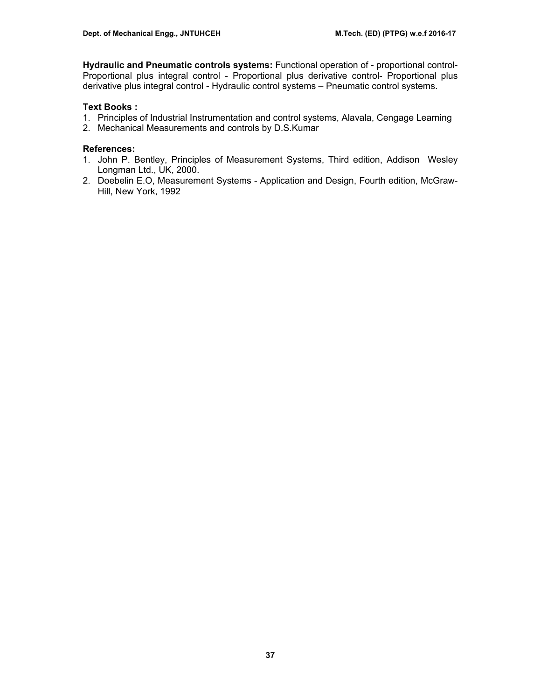**Hydraulic and Pneumatic controls systems:** Functional operation of - proportional control-Proportional plus integral control - Proportional plus derivative control- Proportional plus derivative plus integral control - Hydraulic control systems – Pneumatic control systems.

# **Text Books :**

- 1. Principles of Industrial Instrumentation and control systems, Alavala, Cengage Learning
- 2. Mechanical Measurements and controls by D.S.Kumar

- 1. John P. Bentley, Principles of Measurement Systems, Third edition, Addison Wesley Longman Ltd., UK, 2000.
- 2. Doebelin E.O, Measurement Systems Application and Design, Fourth edition, McGraw-Hill, New York, 1992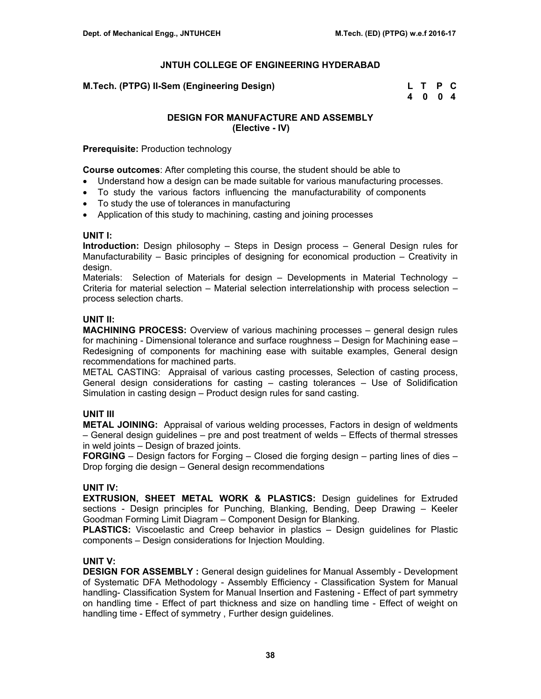| M.Tech. (PTPG) II-Sem (Engineering Design) | L T P C |  |
|--------------------------------------------|---------|--|
|                                            | 4004    |  |

# **DESIGN FOR MANUFACTURE AND ASSEMBLY (Elective - IV)**

**Prerequisite:** Production technology

**Course outcomes**: After completing this course, the student should be able to

- Understand how a design can be made suitable for various manufacturing processes.
- To study the various factors influencing the manufacturability of components
- To study the use of tolerances in manufacturing
- Application of this study to machining, casting and joining processes

# **UNIT I:**

**Introduction:** Design philosophy – Steps in Design process – General Design rules for Manufacturability – Basic principles of designing for economical production – Creativity in design.

Materials: Selection of Materials for design – Developments in Material Technology – Criteria for material selection – Material selection interrelationship with process selection – process selection charts.

# **UNIT II:**

**MACHINING PROCESS:** Overview of various machining processes – general design rules for machining - Dimensional tolerance and surface roughness – Design for Machining ease – Redesigning of components for machining ease with suitable examples, General design recommendations for machined parts.

METAL CASTING: Appraisal of various casting processes, Selection of casting process, General design considerations for casting – casting tolerances – Use of Solidification Simulation in casting design – Product design rules for sand casting.

# **UNIT III**

**METAL JOINING:** Appraisal of various welding processes, Factors in design of weldments – General design guidelines – pre and post treatment of welds – Effects of thermal stresses in weld joints – Design of brazed joints.

**FORGING** – Design factors for Forging – Closed die forging design – parting lines of dies – Drop forging die design – General design recommendations

# **UNIT IV:**

**EXTRUSION, SHEET METAL WORK & PLASTICS:** Design guidelines for Extruded sections - Design principles for Punching, Blanking, Bending, Deep Drawing – Keeler Goodman Forming Limit Diagram – Component Design for Blanking.

**PLASTICS:** Viscoelastic and Creep behavior in plastics – Design guidelines for Plastic components – Design considerations for Injection Moulding.

# **UNIT V:**

**DESIGN FOR ASSEMBLY :** General design guidelines for Manual Assembly - Development of Systematic DFA Methodology - Assembly Efficiency - Classification System for Manual handling- Classification System for Manual Insertion and Fastening - Effect of part symmetry on handling time - Effect of part thickness and size on handling time - Effect of weight on handling time - Effect of symmetry , Further design guidelines.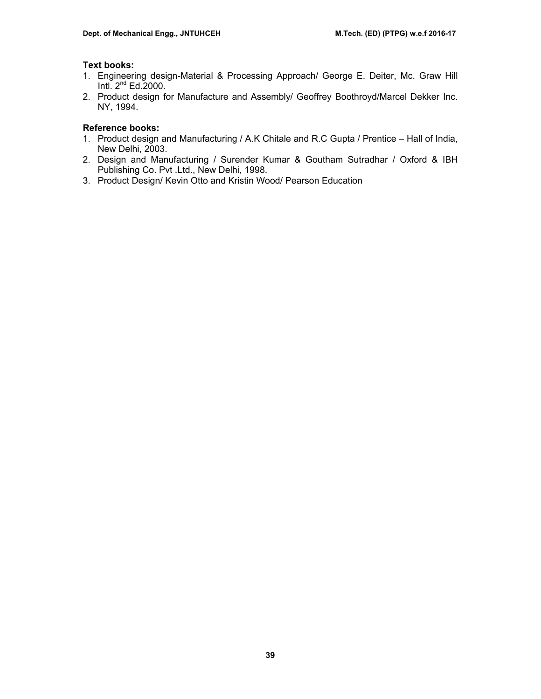# **Text books:**

- 1. Engineering design-Material & Processing Approach/ George E. Deiter, Mc. Graw Hill Intl.  $2<sup>nd</sup> Ed.2000$ .
- 2. Product design for Manufacture and Assembly/ Geoffrey Boothroyd/Marcel Dekker Inc. NY, 1994.

# **Reference books:**

- 1. Product design and Manufacturing / A.K Chitale and R.C Gupta / Prentice Hall of India, New Delhi, 2003.
- 2. Design and Manufacturing / Surender Kumar & Goutham Sutradhar / Oxford & IBH Publishing Co. Pvt .Ltd., New Delhi, 1998.
- 3. Product Design/ Kevin Otto and Kristin Wood/ Pearson Education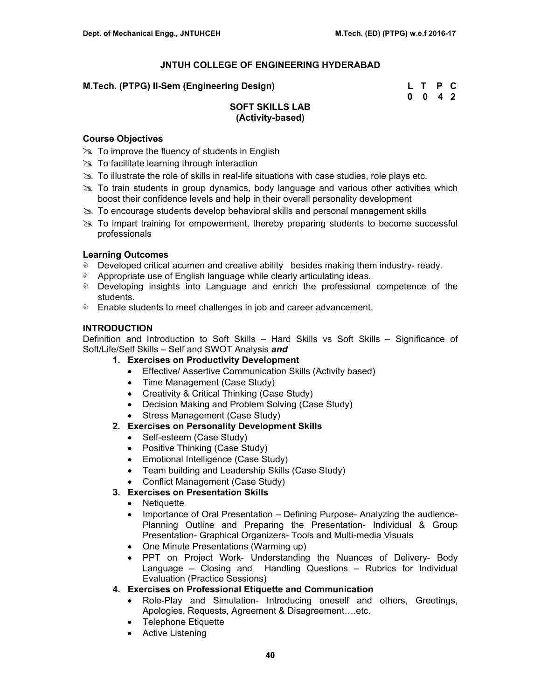# **M.Tech. (PTPG) II-Sem (Engineering Design)**

| M.Tech. (PTPG) II-Sem (Engineering Design) | L T P C            |  |
|--------------------------------------------|--------------------|--|
|                                            | $0 \t 0 \t 4 \t 2$ |  |

# **SOFT SKILLS LAB (Activity-based)**

# **Course Objectives**

- $\gg$  To improve the fluency of students in English
- $\gg$  To facilitate learning through interaction
- $\gg$  To illustrate the role of skills in real-life situations with case studies, role plays etc.
- $\gg$  To train students in group dynamics, body language and various other activities which boost their confidence levels and help in their overall personality development
- $\gg$  To encourage students develop behavioral skills and personal management skills
- $\gg$  To impart training for empowerment, thereby preparing students to become successful professionals

# **Learning Outcomes**

- $\bullet$  Developed critical acumen and creative ability besides making them industry-ready.
- **&** Appropriate use of English language while clearly articulating ideas.
- & Developing insights into Language and enrich the professional competence of the students.
- **Enable students to meet challenges in job and career advancement.**

# **INTRODUCTION**

Definition and Introduction to Soft Skills – Hard Skills vs Soft Skills – Significance of Soft/Life/Self Skills – Self and SWOT Analysis *and*

- **1. Exercises on Productivity Development** 
	- Effective/ Assertive Communication Skills (Activity based)
	- Time Management (Case Study)
	- Creativity & Critical Thinking (Case Study)
	- Decision Making and Problem Solving (Case Study)
	- Stress Management (Case Study)
- **2. Exercises on Personality Development Skills** 
	- Self-esteem (Case Study)
	- Positive Thinking (Case Study)
	- Emotional Intelligence (Case Study)
	- Team building and Leadership Skills (Case Study)
	- Conflict Management (Case Study)
- **3. Exercises on Presentation Skills** 
	- Netiquette
	- Importance of Oral Presentation Defining Purpose- Analyzing the audience-Planning Outline and Preparing the Presentation- Individual & Group Presentation- Graphical Organizers- Tools and Multi-media Visuals
	- One Minute Presentations (Warming up)
	- PPT on Project Work- Understanding the Nuances of Delivery- Body Language – Closing and Handling Questions – Rubrics for Individual Evaluation (Practice Sessions)
- **4. Exercises on Professional Etiquette and Communication** 
	- Role-Play and Simulation- Introducing oneself and others, Greetings, Apologies, Requests, Agreement & Disagreement….etc.
	- Telephone Etiquette
	- Active Listening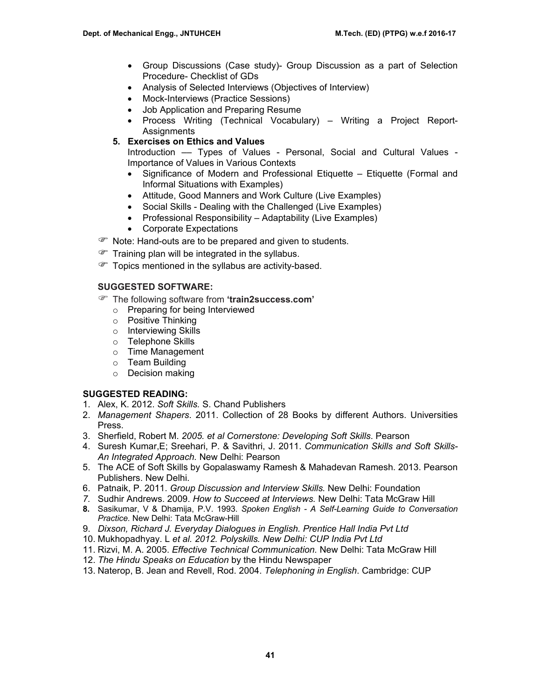- Group Discussions (Case study)- Group Discussion as a part of Selection Procedure- Checklist of GDs
- Analysis of Selected Interviews (Objectives of Interview)
- Mock-Interviews (Practice Sessions)
- Job Application and Preparing Resume
- Process Writing (Technical Vocabulary) Writing a Project Report-**Assignments**
- **5. Exercises on Ethics and Values**

Introduction –– Types of Values - Personal, Social and Cultural Values - Importance of Values in Various Contexts

- Significance of Modern and Professional Etiquette Etiquette (Formal and Informal Situations with Examples)
- Attitude, Good Manners and Work Culture (Live Examples)
- Social Skills Dealing with the Challenged (Live Examples)
- Professional Responsibility Adaptability (Live Examples)
- Corporate Expectations
- ) Note: Hand-outs are to be prepared and given to students.
- $\mathcal{F}$  Training plan will be integrated in the syllabus.
- $\mathcal{F}$  Topics mentioned in the syllabus are activity-based.

# **SUGGESTED SOFTWARE:**

- ) The following software from **'train2success.com'** 
	- o Preparing for being Interviewed
	- o Positive Thinking
	- o Interviewing Skills
	- o Telephone Skills
	- o Time Management
	- o Team Building
	- o Decision making

## **SUGGESTED READING:**

- 1. Alex, K. 2012. *Soft Skills.* S. Chand Publishers
- 2. *Management Shapers*. 2011. Collection of 28 Books by different Authors. Universities Press.
- 3. Sherfield, Robert M. *2005. et al Cornerstone: Developing Soft Skills*. Pearson
- 4. Suresh Kumar,E; Sreehari, P. & Savithri, J. 2011. *Communication Skills and Soft Skills-An Integrated Approach.* New Delhi: Pearson
- 5. The ACE of Soft Skills by Gopalaswamy Ramesh & Mahadevan Ramesh. 2013. Pearson Publishers. New Delhi.
- 6. Patnaik, P. 2011. *Group Discussion and Interview Skills.* New Delhi: Foundation
- *7.* Sudhir Andrews. 2009. *How to Succeed at Interviews.* New Delhi: Tata McGraw Hill
- **8.** Sasikumar, V & Dhamija, P.V. 1993. *Spoken English A Self-Learning Guide to Conversation Practice.* New Delhi: Tata McGraw-Hill
- 9. *Dixson, Richard J. Everyday Dialogues in English. Prentice Hall India Pvt Ltd*
- 10. Mukhopadhyay. L *et al. 2012. Polyskills. New Delhi: CUP India Pvt Ltd*
- 11. Rizvi, M. A. 2005. *Effective Technical Communication.* New Delhi: Tata McGraw Hill
- 12. *The Hindu Speaks on Education* by the Hindu Newspaper
- 13. Naterop, B. Jean and Revell, Rod. 2004. *Telephoning in English*. Cambridge: CUP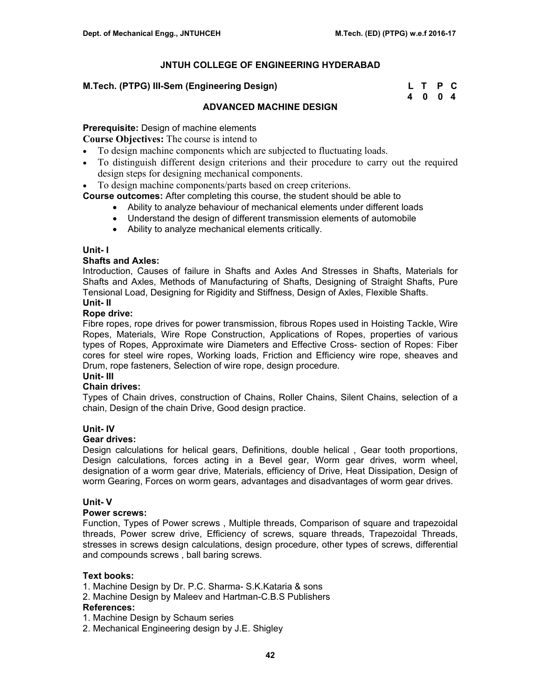## **M.Tech. (PTPG) III-Sem (Engineering Design)**

| M.Tech. (PTPG) III-Sem (Engineering Design) | L T P C |  |
|---------------------------------------------|---------|--|
|                                             | 4004    |  |

# **ADVANCED MACHINE DESIGN**

# **Prerequisite:** Design of machine elements

**Course Objectives:** The course is intend to

- To design machine components which are subjected to fluctuating loads.
- To distinguish different design criterions and their procedure to carry out the required design steps for designing mechanical components.
- To design machine components/parts based on creep criterions.

**Course outcomes:** After completing this course, the student should be able to

- Ability to analyze behaviour of mechanical elements under different loads
- Understand the design of different transmission elements of automobile
- Ability to analyze mechanical elements critically.

## **Unit- I**

## **Shafts and Axles:**

Introduction, Causes of failure in Shafts and Axles And Stresses in Shafts, Materials for Shafts and Axles, Methods of Manufacturing of Shafts, Designing of Straight Shafts, Pure Tensional Load, Designing for Rigidity and Stiffness, Design of Axles, Flexible Shafts. **Unit- II** 

## **Rope drive:**

Fibre ropes, rope drives for power transmission, fibrous Ropes used in Hoisting Tackle, Wire Ropes, Materials, Wire Rope Construction, Applications of Ropes, properties of various types of Ropes, Approximate wire Diameters and Effective Cross- section of Ropes: Fiber cores for steel wire ropes, Working loads, Friction and Efficiency wire rope, sheaves and Drum, rope fasteners, Selection of wire rope, design procedure.

# **Unit- III**

## **Chain drives:**

Types of Chain drives, construction of Chains, Roller Chains, Silent Chains, selection of a chain, Design of the chain Drive, Good design practice.

## **Unit- IV**

## **Gear drives:**

Design calculations for helical gears, Definitions, double helical , Gear tooth proportions, Design calculations, forces acting in a Bevel gear, Worm gear drives, worm wheel, designation of a worm gear drive, Materials, efficiency of Drive, Heat Dissipation, Design of worm Gearing, Forces on worm gears, advantages and disadvantages of worm gear drives.

# **Unit- V**

# **Power screws:**

Function, Types of Power screws , Multiple threads, Comparison of square and trapezoidal threads, Power screw drive, Efficiency of screws, square threads, Trapezoidal Threads, stresses in screws design calculations, design procedure, other types of screws, differential and compounds screws , ball baring screws.

## **Text books:**

1. Machine Design by Dr. P.C. Sharma- S.K.Kataria & sons

- 2. Machine Design by Maleev and Hartman-C.B.S Publishers **References:**
- 1. Machine Design by Schaum series
- 2. Mechanical Engineering design by J.E. Shigley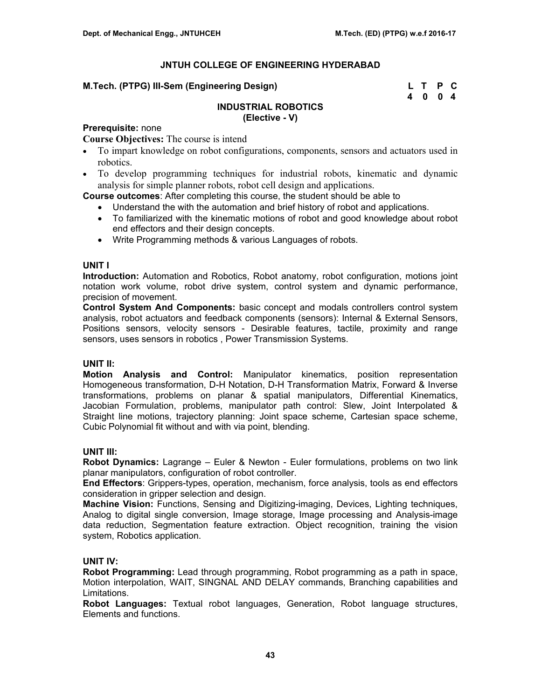## **M.Tech. (PTPG) III-Sem (Engineering Design)**

| M.Tech. (PTPG) III-Sem (Engineering Design) | L T P C |  |
|---------------------------------------------|---------|--|
|                                             | 4004    |  |

#### **INDUSTRIAL ROBOTICS (Elective - V)**

# **Prerequisite:** none

**Course Objectives:** The course is intend

- To impart knowledge on robot configurations, components, sensors and actuators used in robotics.
- To develop programming techniques for industrial robots, kinematic and dynamic analysis for simple planner robots, robot cell design and applications.

**Course outcomes**: After completing this course, the student should be able to

- Understand the with the automation and brief history of robot and applications.
- To familiarized with the kinematic motions of robot and good knowledge about robot end effectors and their design concepts.
- Write Programming methods & various Languages of robots.

## **UNIT I**

**Introduction:** Automation and Robotics, Robot anatomy, robot configuration, motions joint notation work volume, robot drive system, control system and dynamic performance, precision of movement.

**Control System And Components:** basic concept and modals controllers control system analysis, robot actuators and feedback components (sensors): Internal & External Sensors, Positions sensors, velocity sensors - Desirable features, tactile, proximity and range sensors, uses sensors in robotics , Power Transmission Systems.

## **UNIT II:**

**Motion Analysis and Control:** Manipulator kinematics, position representation Homogeneous transformation, D-H Notation, D-H Transformation Matrix, Forward & Inverse transformations, problems on planar & spatial manipulators, Differential Kinematics, Jacobian Formulation, problems, manipulator path control: Slew, Joint Interpolated & Straight line motions, trajectory planning: Joint space scheme, Cartesian space scheme, Cubic Polynomial fit without and with via point, blending.

# **UNIT III:**

**Robot Dynamics:** Lagrange – Euler & Newton - Euler formulations, problems on two link planar manipulators, configuration of robot controller.

**End Effectors**: Grippers-types, operation, mechanism, force analysis, tools as end effectors consideration in gripper selection and design.

**Machine Vision:** Functions, Sensing and Digitizing-imaging, Devices, Lighting techniques, Analog to digital single conversion, Image storage, Image processing and Analysis-image data reduction, Segmentation feature extraction. Object recognition, training the vision system, Robotics application.

## **UNIT IV:**

**Robot Programming:** Lead through programming, Robot programming as a path in space, Motion interpolation, WAIT, SINGNAL AND DELAY commands, Branching capabilities and Limitations.

**Robot Languages:** Textual robot languages, Generation, Robot language structures, Elements and functions.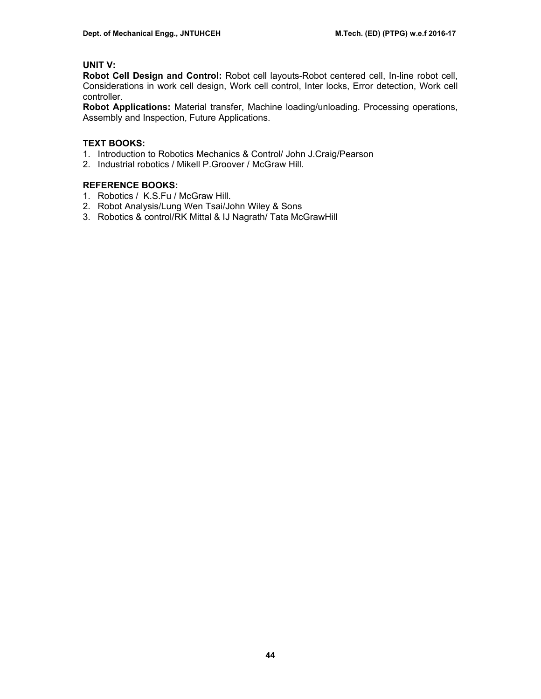# **UNIT V:**

**Robot Cell Design and Control:** Robot cell layouts-Robot centered cell, In-line robot cell, Considerations in work cell design, Work cell control, Inter locks, Error detection, Work cell controller.

**Robot Applications:** Material transfer, Machine loading/unloading. Processing operations, Assembly and Inspection, Future Applications.

# **TEXT BOOKS:**

- 1. Introduction to Robotics Mechanics & Control/ John J.Craig/Pearson
- 2. Industrial robotics / Mikell P.Groover / McGraw Hill.

# **REFERENCE BOOKS:**

- 1. Robotics / K.S.Fu / McGraw Hill.
- 2. Robot Analysis/Lung Wen Tsai/John Wiley & Sons
- 3. Robotics & control/RK Mittal & IJ Nagrath/ Tata McGrawHill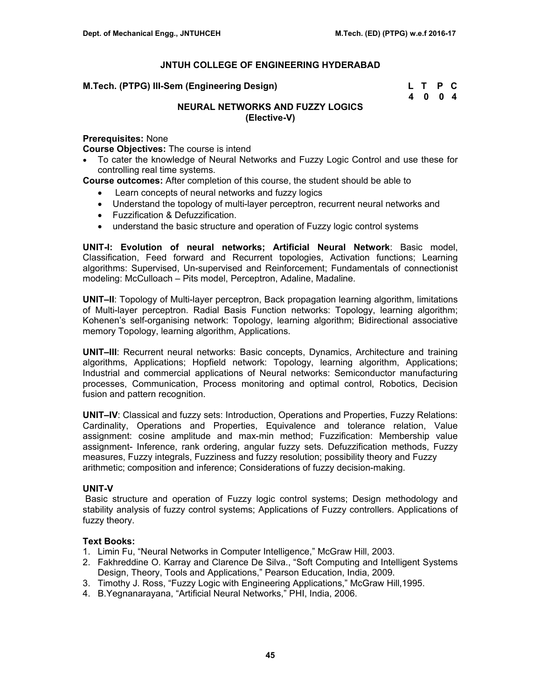| M.Tech. (PTPG) III-Sem (Engineering Design) | L T P C |  |
|---------------------------------------------|---------|--|
|                                             | 4004    |  |

# **NEURAL NETWORKS AND FUZZY LOGICS (Elective-V)**

## **Prerequisites:** None

**Course Objectives:** The course is intend

• To cater the knowledge of Neural Networks and Fuzzy Logic Control and use these for controlling real time systems.

**Course outcomes:** After completion of this course, the student should be able to

- Learn concepts of neural networks and fuzzy logics
- Understand the topology of multi-layer perceptron, recurrent neural networks and
- Fuzzification & Defuzzification.
- understand the basic structure and operation of Fuzzy logic control systems

**UNIT-I: Evolution of neural networks; Artificial Neural Network**: Basic model, Classification, Feed forward and Recurrent topologies, Activation functions; Learning algorithms: Supervised, Un-supervised and Reinforcement; Fundamentals of connectionist modeling: McCulloach – Pits model, Perceptron, Adaline, Madaline.

**UNIT–II**: Topology of Multi-layer perceptron, Back propagation learning algorithm, limitations of Multi-layer perceptron. Radial Basis Function networks: Topology, learning algorithm; Kohenen's self-organising network: Topology, learning algorithm; Bidirectional associative memory Topology, learning algorithm, Applications.

**UNIT–III**: Recurrent neural networks: Basic concepts, Dynamics, Architecture and training algorithms, Applications; Hopfield network: Topology, learning algorithm, Applications; Industrial and commercial applications of Neural networks: Semiconductor manufacturing processes, Communication, Process monitoring and optimal control, Robotics, Decision fusion and pattern recognition.

**UNIT–IV**: Classical and fuzzy sets: Introduction, Operations and Properties, Fuzzy Relations: Cardinality, Operations and Properties, Equivalence and tolerance relation, Value assignment: cosine amplitude and max-min method; Fuzzification: Membership value assignment- Inference, rank ordering, angular fuzzy sets. Defuzzification methods, Fuzzy measures, Fuzzy integrals, Fuzziness and fuzzy resolution; possibility theory and Fuzzy arithmetic; composition and inference; Considerations of fuzzy decision-making.

## **UNIT-V**

 Basic structure and operation of Fuzzy logic control systems; Design methodology and stability analysis of fuzzy control systems; Applications of Fuzzy controllers. Applications of fuzzy theory.

## **Text Books:**

- 1. Limin Fu, "Neural Networks in Computer Intelligence," McGraw Hill, 2003.
- 2. Fakhreddine O. Karray and Clarence De Silva., "Soft Computing and Intelligent Systems Design, Theory, Tools and Applications," Pearson Education, India, 2009.
- 3. Timothy J. Ross, "Fuzzy Logic with Engineering Applications," McGraw Hill,1995.
- 4. B.Yegnanarayana, "Artificial Neural Networks," PHI, India, 2006.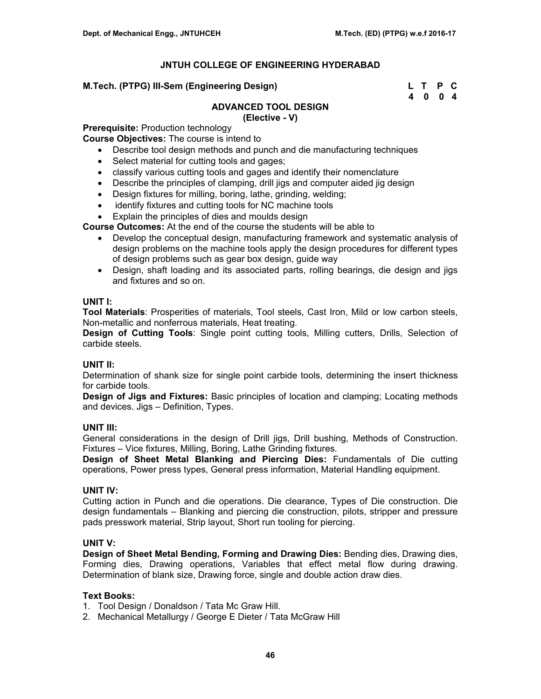**M.Tech. (PTPG) III-Sem (Engineering Design)** 

| M.Tech. (PTPG) III-Sem (Engineering Design) | L T P C |  |
|---------------------------------------------|---------|--|
|                                             | 4 0 0 4 |  |

# **ADVANCED TOOL DESIGN**

## **(Elective - V)**

**Prerequisite:** Production technology **Course Objectives:** The course is intend to

- Describe tool design methods and punch and die manufacturing techniques
- Select material for cutting tools and gages;
- classify various cutting tools and gages and identify their nomenclature
- Describe the principles of clamping, drill jigs and computer aided jig design
- Design fixtures for milling, boring, lathe, grinding, welding;
- identify fixtures and cutting tools for NC machine tools
- Explain the principles of dies and moulds design

**Course Outcomes:** At the end of the course the students will be able to

- Develop the conceptual design, manufacturing framework and systematic analysis of design problems on the machine tools apply the design procedures for different types of design problems such as gear box design, guide way
- Design, shaft loading and its associated parts, rolling bearings, die design and jigs and fixtures and so on.

## **UNIT I:**

**Tool Materials**: Prosperities of materials, Tool steels, Cast Iron, Mild or low carbon steels, Non-metallic and nonferrous materials, Heat treating.

**Design of Cutting Tools**: Single point cutting tools, Milling cutters, Drills, Selection of carbide steels.

## **UNIT II:**

Determination of shank size for single point carbide tools, determining the insert thickness for carbide tools.

**Design of Jigs and Fixtures:** Basic principles of location and clamping; Locating methods and devices. Jigs – Definition, Types.

## **UNIT III:**

General considerations in the design of Drill jigs, Drill bushing, Methods of Construction. Fixtures – Vice fixtures, Milling, Boring, Lathe Grinding fixtures.

**Design of Sheet Metal Blanking and Piercing Dies:** Fundamentals of Die cutting operations, Power press types, General press information, Material Handling equipment.

# **UNIT IV:**

Cutting action in Punch and die operations. Die clearance, Types of Die construction. Die design fundamentals – Blanking and piercing die construction, pilots, stripper and pressure pads presswork material, Strip layout, Short run tooling for piercing.

# **UNIT V:**

**Design of Sheet Metal Bending, Forming and Drawing Dies:** Bending dies, Drawing dies, Forming dies, Drawing operations, Variables that effect metal flow during drawing. Determination of blank size, Drawing force, single and double action draw dies.

## **Text Books:**

- 1. Tool Design / Donaldson / Tata Mc Graw Hill.
- 2. Mechanical Metallurgy / George E Dieter / Tata McGraw Hill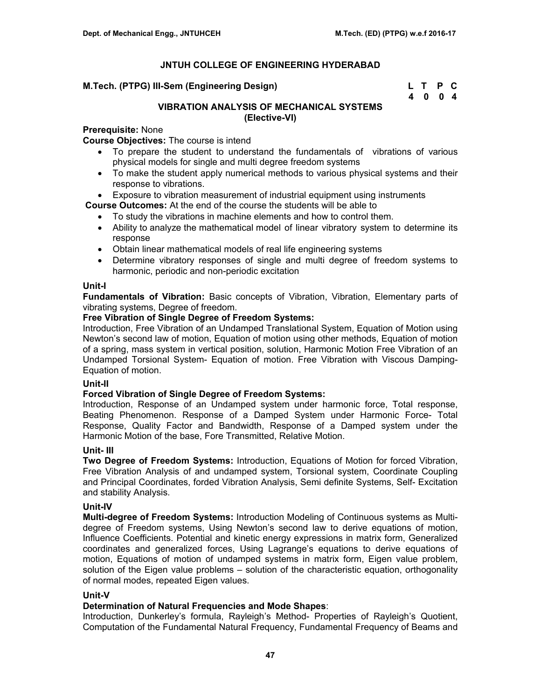| M.Tech. (PTPG) III-Sem (Engineering Design) | L T P C |  |
|---------------------------------------------|---------|--|
|                                             | 4004    |  |

# **VIBRATION ANALYSIS OF MECHANICAL SYSTEMS (Elective-VI)**

# **Prerequisite:** None

**Course Objectives:** The course is intend

- To prepare the student to understand the fundamentals of vibrations of various physical models for single and multi degree freedom systems
- To make the student apply numerical methods to various physical systems and their response to vibrations.
- Exposure to vibration measurement of industrial equipment using instruments

**Course Outcomes:** At the end of the course the students will be able to

- To study the vibrations in machine elements and how to control them.
- Ability to analyze the mathematical model of linear vibratory system to determine its response
- Obtain linear mathematical models of real life engineering systems
- Determine vibratory responses of single and multi degree of freedom systems to harmonic, periodic and non-periodic excitation

## **Unit-I**

**Fundamentals of Vibration:** Basic concepts of Vibration, Vibration, Elementary parts of vibrating systems, Degree of freedom.

## **Free Vibration of Single Degree of Freedom Systems:**

Introduction, Free Vibration of an Undamped Translational System, Equation of Motion using Newton's second law of motion, Equation of motion using other methods, Equation of motion of a spring, mass system in vertical position, solution, Harmonic Motion Free Vibration of an Undamped Torsional System- Equation of motion. Free Vibration with Viscous Damping-Equation of motion.

# **Unit-II**

## **Forced Vibration of Single Degree of Freedom Systems:**

Introduction, Response of an Undamped system under harmonic force, Total response, Beating Phenomenon. Response of a Damped System under Harmonic Force- Total Response, Quality Factor and Bandwidth, Response of a Damped system under the Harmonic Motion of the base, Fore Transmitted, Relative Motion.

## **Unit- III**

**Two Degree of Freedom Systems:** Introduction, Equations of Motion for forced Vibration, Free Vibration Analysis of and undamped system, Torsional system, Coordinate Coupling and Principal Coordinates, forded Vibration Analysis, Semi definite Systems, Self- Excitation and stability Analysis.

# **Unit-IV**

**Multi-degree of Freedom Systems:** Introduction Modeling of Continuous systems as Multidegree of Freedom systems, Using Newton's second law to derive equations of motion, Influence Coefficients. Potential and kinetic energy expressions in matrix form, Generalized coordinates and generalized forces, Using Lagrange's equations to derive equations of motion, Equations of motion of undamped systems in matrix form, Eigen value problem, solution of the Eigen value problems – solution of the characteristic equation, orthogonality of normal modes, repeated Eigen values.

## **Unit-V**

## **Determination of Natural Frequencies and Mode Shapes**:

Introduction, Dunkerley's formula, Rayleigh's Method- Properties of Rayleigh's Quotient, Computation of the Fundamental Natural Frequency, Fundamental Frequency of Beams and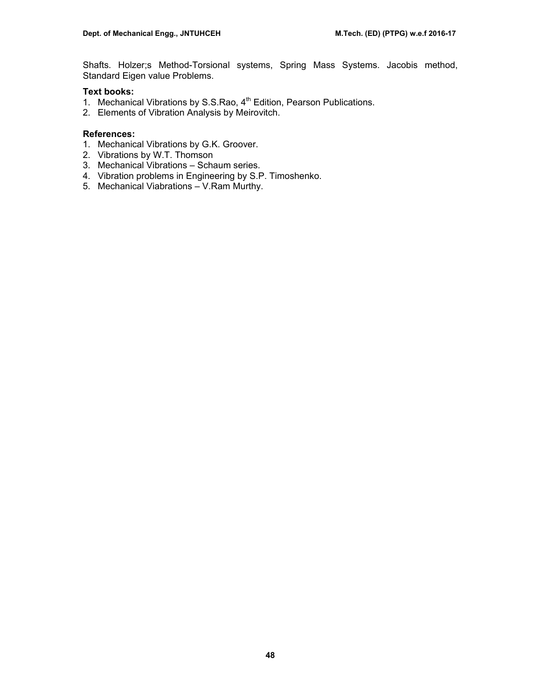Shafts. Holzer;s Method-Torsional systems, Spring Mass Systems. Jacobis method, Standard Eigen value Problems.

# **Text books:**

- 1. Mechanical Vibrations by S.S.Rao, 4<sup>th</sup> Edition, Pearson Publications.
- 2. Elements of Vibration Analysis by Meirovitch.

- 1. Mechanical Vibrations by G.K. Groover.
- 2. Vibrations by W.T. Thomson
- 3. Mechanical Vibrations Schaum series.
- 4. Vibration problems in Engineering by S.P. Timoshenko.
- 5. Mechanical Viabrations V.Ram Murthy.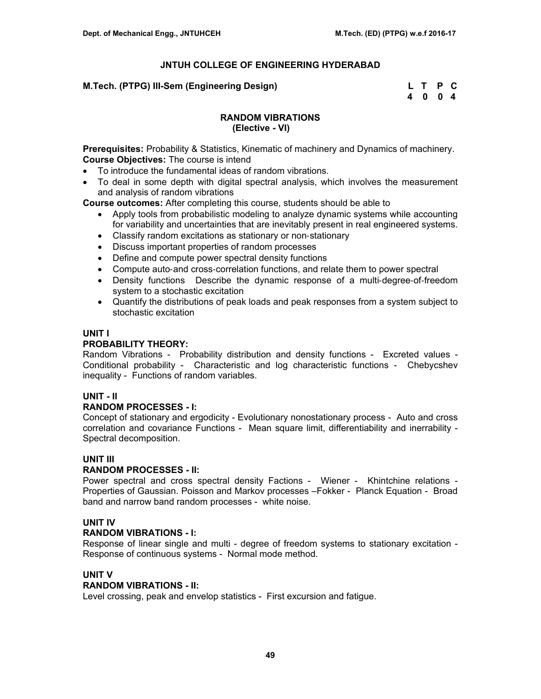| M.Tech. (PTPG) III-Sem (Engineering Design) | L T P C |  |
|---------------------------------------------|---------|--|
|                                             | 4004    |  |

# **RANDOM VIBRATIONS (Elective - VI)**

**Prerequisites:** Probability & Statistics, Kinematic of machinery and Dynamics of machinery. **Course Objectives:** The course is intend

- To introduce the fundamental ideas of random vibrations.
- To deal in some depth with digital spectral analysis, which involves the measurement and analysis of random vibrations

**Course outcomes:** After completing this course, students should be able to

- Apply tools from probabilistic modeling to analyze dynamic systems while accounting for variability and uncertainties that are inevitably present in real engineered systems.
- Classify random excitations as stationary or non-stationary
- Discuss important properties of random processes
- Define and compute power spectral density functions
- Compute auto‐and cross‐correlation functions, and relate them to power spectral
- Density functions Describe the dynamic response of a multi-degree-of-freedom system to a stochastic excitation
- Quantify the distributions of peak loads and peak responses from a system subject to stochastic excitation

# **UNIT I**

# **PROBABILITY THEORY:**

Random Vibrations - Probability distribution and density functions - Excreted values - Conditional probability - Characteristic and log characteristic functions - Chebycshev inequality - Functions of random variables.

# **UNIT - II**

# **RANDOM PROCESSES - I:**

Concept of stationary and ergodicity - Evolutionary nonostationary process - Auto and cross correlation and covariance Functions - Mean square limit, differentiability and inerrability - Spectral decomposition.

# **UNIT III**

# **RANDOM PROCESSES - II:**

Power spectral and cross spectral density Factions - Wiener - Khintchine relations -Properties of Gaussian. Poisson and Markov processes –Fokker - Planck Equation - Broad band and narrow band random processes - white noise.

# **UNIT IV**

## **RANDOM VIBRATIONS - I:**

Response of linear single and multi - degree of freedom systems to stationary excitation - Response of continuous systems - Normal mode method.

## **UNIT V**

## **RANDOM VIBRATIONS - II:**

Level crossing, peak and envelop statistics - First excursion and fatigue.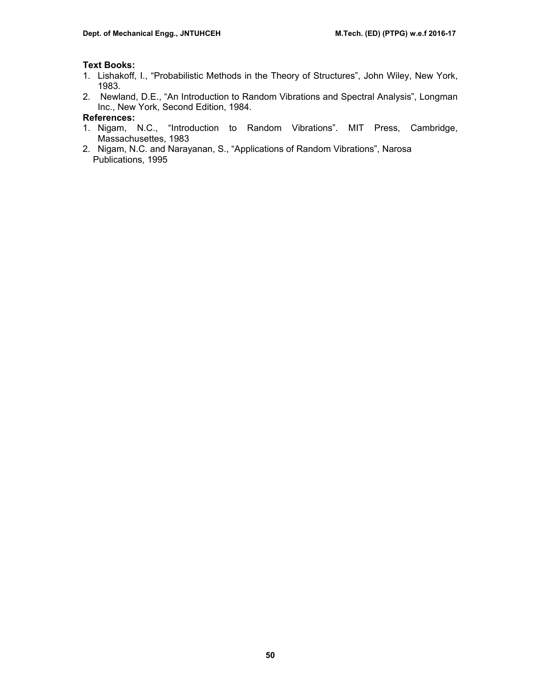# **Text Books:**

- 1. Lishakoff, I., "Probabilistic Methods in the Theory of Structures", John Wiley, New York, 1983.
- 2. Newland, D.E., "An Introduction to Random Vibrations and Spectral Analysis", Longman Inc., New York, Second Edition, 1984.

- 1. Nigam, N.C., "Introduction to Random Vibrations". MIT Press, Cambridge, Massachusettes, 1983
- 2. Nigam, N.C. and Narayanan, S., "Applications of Random Vibrations", Narosa Publications, 1995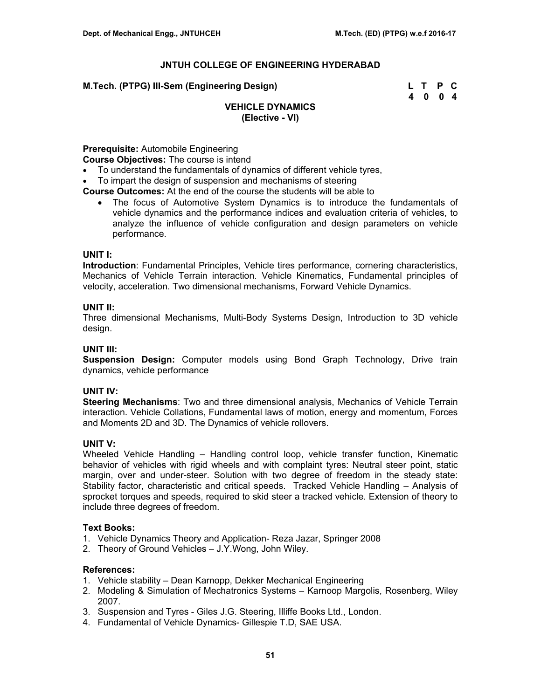**M.Tech. (PTPG) III-Sem (Engineering Design) L T P C** 

 **4 0 0 4** 

# **VEHICLE DYNAMICS (Elective - VI)**

# **Prerequisite:** Automobile Engineering

**Course Objectives:** The course is intend

- To understand the fundamentals of dynamics of different vehicle tyres,
- To impart the design of suspension and mechanisms of steering

**Course Outcomes:** At the end of the course the students will be able to

• The focus of Automotive System Dynamics is to introduce the fundamentals of vehicle dynamics and the performance indices and evaluation criteria of vehicles, to analyze the influence of vehicle configuration and design parameters on vehicle performance.

#### **UNIT I:**

**Introduction**: Fundamental Principles, Vehicle tires performance, cornering characteristics, Mechanics of Vehicle Terrain interaction. Vehicle Kinematics, Fundamental principles of velocity, acceleration. Two dimensional mechanisms, Forward Vehicle Dynamics.

## **UNIT II:**

Three dimensional Mechanisms, Multi-Body Systems Design, Introduction to 3D vehicle design.

# **UNIT III:**

**Suspension Design:** Computer models using Bond Graph Technology, Drive train dynamics, vehicle performance

## **UNIT IV:**

**Steering Mechanisms**: Two and three dimensional analysis, Mechanics of Vehicle Terrain interaction. Vehicle Collations, Fundamental laws of motion, energy and momentum, Forces and Moments 2D and 3D. The Dynamics of vehicle rollovers.

## **UNIT V:**

Wheeled Vehicle Handling – Handling control loop, vehicle transfer function, Kinematic behavior of vehicles with rigid wheels and with complaint tyres: Neutral steer point, static margin, over and under-steer. Solution with two degree of freedom in the steady state: Stability factor, characteristic and critical speeds. Tracked Vehicle Handling – Analysis of sprocket torques and speeds, required to skid steer a tracked vehicle. Extension of theory to include three degrees of freedom.

#### **Text Books:**

- 1. Vehicle Dynamics Theory and Application- Reza Jazar, Springer 2008
- 2. Theory of Ground Vehicles J.Y.Wong, John Wiley.

- 1. Vehicle stability Dean Karnopp, Dekker Mechanical Engineering
- 2. Modeling & Simulation of Mechatronics Systems Karnoop Margolis, Rosenberg, Wiley 2007.
- 3. Suspension and Tyres Giles J.G. Steering, Illiffe Books Ltd., London.
- 4. Fundamental of Vehicle Dynamics- Gillespie T.D, SAE USA.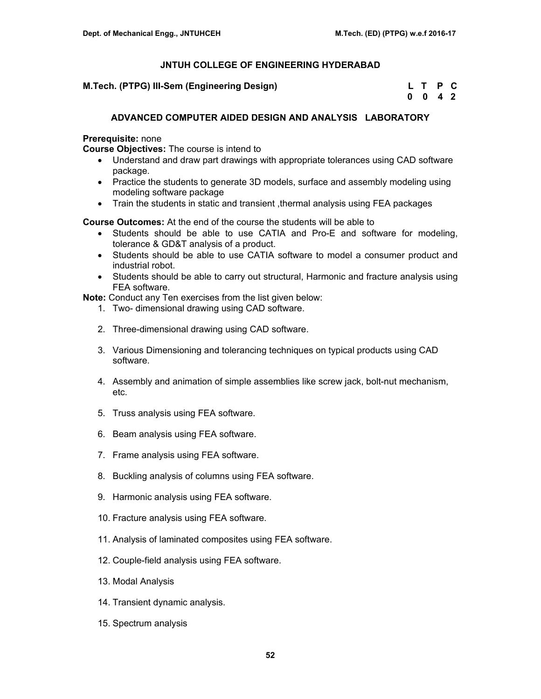**M.Tech. (PTPG) III-Sem (Engineering Design)** 

| M.Tech. (PTPG) III-Sem (Engineering Design) | L T P C |  |
|---------------------------------------------|---------|--|
|                                             | 0 0 4 2 |  |

# **ADVANCED COMPUTER AIDED DESIGN AND ANALYSIS LABORATORY**

## **Prerequisite:** none

**Course Objectives:** The course is intend to

- Understand and draw part drawings with appropriate tolerances using CAD software package.
- Practice the students to generate 3D models, surface and assembly modeling using modeling software package
- Train the students in static and transient ,thermal analysis using FEA packages

**Course Outcomes:** At the end of the course the students will be able to

- Students should be able to use CATIA and Pro-E and software for modeling, tolerance & GD&T analysis of a product.
- Students should be able to use CATIA software to model a consumer product and industrial robot.
- Students should be able to carry out structural, Harmonic and fracture analysis using FEA software.

**Note:** Conduct any Ten exercises from the list given below:

- 1. Two- dimensional drawing using CAD software.
- 2. Three-dimensional drawing using CAD software.
- 3. Various Dimensioning and tolerancing techniques on typical products using CAD software.
- 4. Assembly and animation of simple assemblies like screw jack, bolt-nut mechanism, etc.
- 5. Truss analysis using FEA software.
- 6. Beam analysis using FEA software.
- 7. Frame analysis using FEA software.
- 8. Buckling analysis of columns using FEA software.
- 9. Harmonic analysis using FEA software.
- 10. Fracture analysis using FEA software.
- 11. Analysis of laminated composites using FEA software.
- 12. Couple-field analysis using FEA software.
- 13. Modal Analysis
- 14. Transient dynamic analysis.
- 15. Spectrum analysis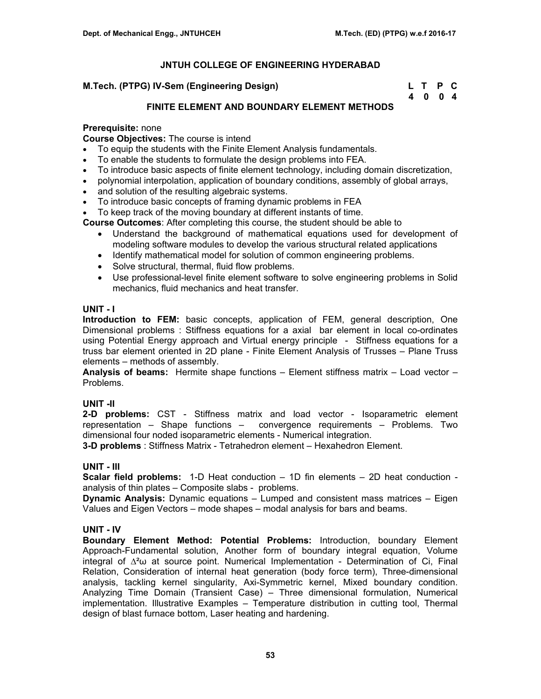| M.Tech. (PTPG) IV-Sem (Engineering Design) | L T P C |  |
|--------------------------------------------|---------|--|
|                                            | 4 0 0 4 |  |

# **FINITE ELEMENT AND BOUNDARY ELEMENT METHODS**

# **Prerequisite:** none

**Course Objectives:** The course is intend

- To equip the students with the Finite Element Analysis fundamentals.
- To enable the students to formulate the design problems into FEA.
- To introduce basic aspects of finite element technology, including domain discretization,
- polynomial interpolation, application of boundary conditions, assembly of global arrays,
- and solution of the resulting algebraic systems.
- To introduce basic concepts of framing dynamic problems in FEA
- To keep track of the moving boundary at different instants of time.

**Course Outcomes**: After completing this course, the student should be able to

- Understand the background of mathematical equations used for development of modeling software modules to develop the various structural related applications
- Identify mathematical model for solution of common engineering problems.
- Solve structural, thermal, fluid flow problems.
- Use professional-level finite element software to solve engineering problems in Solid mechanics, fluid mechanics and heat transfer.

## **UNIT - I**

**Introduction to FEM:** basic concepts, application of FEM, general description, One Dimensional problems : Stiffness equations for a axial bar element in local co-ordinates using Potential Energy approach and Virtual energy principle - Stiffness equations for a truss bar element oriented in 2D plane - Finite Element Analysis of Trusses – Plane Truss elements – methods of assembly.

**Analysis of beams:** Hermite shape functions – Element stiffness matrix – Load vector – Problems.

# **UNIT -II**

**2-D problems:** CST - Stiffness matrix and load vector - Isoparametric element representation – Shape functions – convergence requirements – Problems. Two dimensional four noded isoparametric elements - Numerical integration.

**3-D problems** : Stiffness Matrix - Tetrahedron element – Hexahedron Element.

## **UNIT - III**

**Scalar field problems:** 1-D Heat conduction – 1D fin elements – 2D heat conduction analysis of thin plates – Composite slabs - problems.

**Dynamic Analysis:** Dynamic equations – Lumped and consistent mass matrices – Eigen Values and Eigen Vectors – mode shapes – modal analysis for bars and beams.

# **UNIT - IV**

**Boundary Element Method: Potential Problems:** Introduction, boundary Element Approach-Fundamental solution, Another form of boundary integral equation, Volume integral of  $\Delta^2\omega$  at source point. Numerical Implementation - Determination of Ci, Final Relation, Consideration of internal heat generation (body force term), Three-dimensional analysis, tackling kernel singularity, Axi-Symmetric kernel, Mixed boundary condition. Analyzing Time Domain (Transient Case) – Three dimensional formulation, Numerical implementation. Illustrative Examples – Temperature distribution in cutting tool, Thermal design of blast furnace bottom, Laser heating and hardening.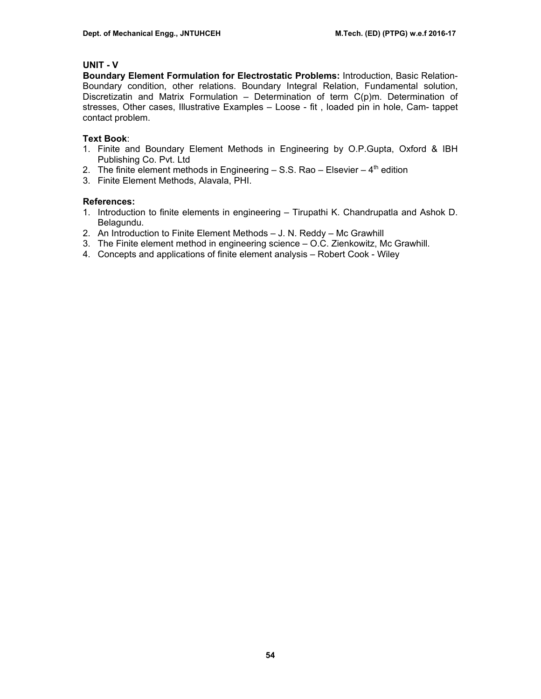# **UNIT - V**

**Boundary Element Formulation for Electrostatic Problems:** Introduction, Basic Relation-Boundary condition, other relations. Boundary Integral Relation, Fundamental solution, Discretizatin and Matrix Formulation – Determination of term C(p)m. Determination of stresses, Other cases, Illustrative Examples – Loose - fit , loaded pin in hole, Cam- tappet contact problem.

# **Text Book**:

- 1. Finite and Boundary Element Methods in Engineering by O.P.Gupta, Oxford & IBH Publishing Co. Pvt. Ltd
- 2. The finite element methods in Engineering  $-$  S.S. Rao  $-$  Elsevier  $-$  4<sup>th</sup> edition
- 3. Finite Element Methods, Alavala, PHI.

- 1. Introduction to finite elements in engineering Tirupathi K. Chandrupatla and Ashok D. Belagundu.
- 2. An Introduction to Finite Element Methods J. N. Reddy Mc Grawhill
- 3. The Finite element method in engineering science O.C. Zienkowitz, Mc Grawhill.
- 4. Concepts and applications of finite element analysis Robert Cook Wiley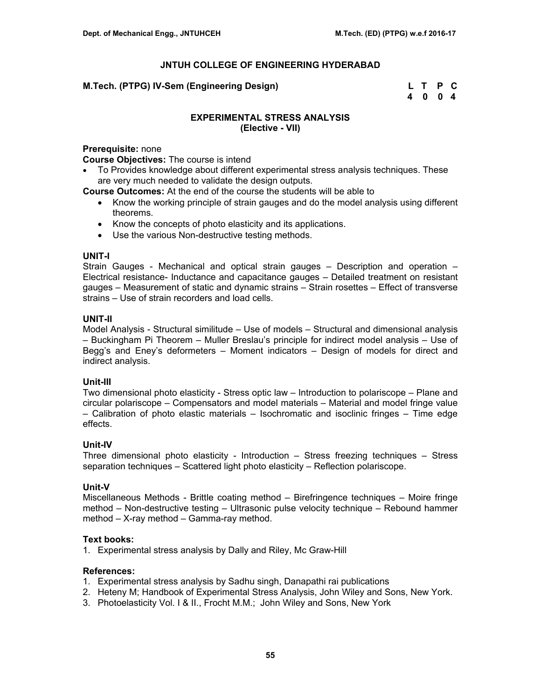| M.Tech. (PTPG) IV-Sem (Engineering Design) | L T P C |  |
|--------------------------------------------|---------|--|
|                                            | 4004    |  |

# **EXPERIMENTAL STRESS ANALYSIS (Elective - VII)**

## **Prerequisite:** none

**Course Objectives:** The course is intend

• To Provides knowledge about different experimental stress analysis techniques. These are very much needed to validate the design outputs.

**Course Outcomes:** At the end of the course the students will be able to

- Know the working principle of strain gauges and do the model analysis using different theorems.
- Know the concepts of photo elasticity and its applications.
- Use the various Non-destructive testing methods.

#### **UNIT-I**

Strain Gauges - Mechanical and optical strain gauges – Description and operation – Electrical resistance- Inductance and capacitance gauges – Detailed treatment on resistant gauges – Measurement of static and dynamic strains – Strain rosettes – Effect of transverse strains – Use of strain recorders and load cells.

## **UNIT-II**

Model Analysis - Structural similitude – Use of models – Structural and dimensional analysis – Buckingham Pi Theorem – Muller Breslau's principle for indirect model analysis – Use of Begg's and Eney's deformeters – Moment indicators – Design of models for direct and indirect analysis.

## **Unit-III**

Two dimensional photo elasticity - Stress optic law – Introduction to polariscope – Plane and circular polariscope – Compensators and model materials – Material and model fringe value – Calibration of photo elastic materials – Isochromatic and isoclinic fringes – Time edge effects.

## **Unit-IV**

Three dimensional photo elasticity - Introduction – Stress freezing techniques – Stress separation techniques – Scattered light photo elasticity – Reflection polariscope.

## **Unit-V**

Miscellaneous Methods - Brittle coating method – Birefringence techniques – Moire fringe method – Non-destructive testing – Ultrasonic pulse velocity technique – Rebound hammer method – X-ray method – Gamma-ray method.

## **Text books:**

1. Experimental stress analysis by Dally and Riley, Mc Graw-Hill

- 1. Experimental stress analysis by Sadhu singh, Danapathi rai publications
- 2. Heteny M; Handbook of Experimental Stress Analysis, John Wiley and Sons, New York.
- 3. Photoelasticity Vol. I & II., Frocht M.M.; John Wiley and Sons, New York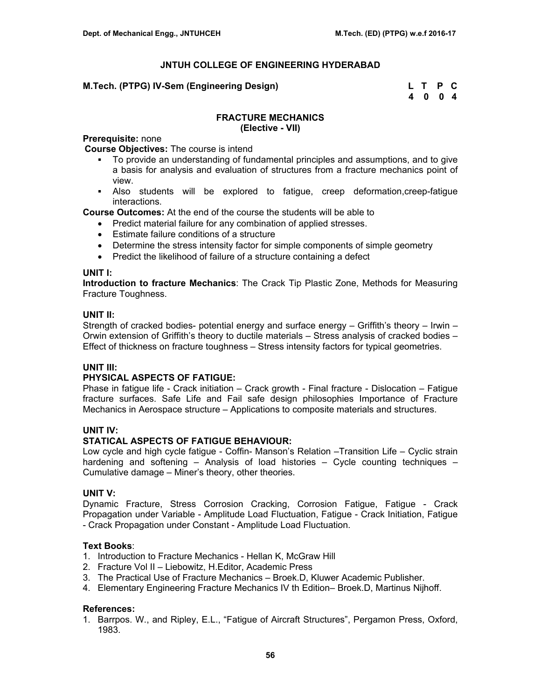# **M.Tech. (PTPG) IV-Sem (Engineering Design)**

| M.Tech. (PTPG) IV-Sem (Engineering Design) | L T P C |  |
|--------------------------------------------|---------|--|
|                                            | 4 0 0 4 |  |

#### **FRACTURE MECHANICS (Elective - VII)**

#### **Prerequisite:** none

**Course Objectives:** The course is intend

- To provide an understanding of fundamental principles and assumptions, and to give a basis for analysis and evaluation of structures from a fracture mechanics point of view.
- Also students will be explored to fatigue, creep deformation,creep-fatigue interactions.

**Course Outcomes:** At the end of the course the students will be able to

- Predict material failure for any combination of applied stresses.
- Estimate failure conditions of a structure
- Determine the stress intensity factor for simple components of simple geometry
- Predict the likelihood of failure of a structure containing a defect

#### **UNIT I:**

**Introduction to fracture Mechanics**: The Crack Tip Plastic Zone, Methods for Measuring Fracture Toughness.

#### **UNIT II:**

Strength of cracked bodies- potential energy and surface energy – Griffith's theory – Irwin – Orwin extension of Griffith's theory to ductile materials – Stress analysis of cracked bodies – Effect of thickness on fracture toughness – Stress intensity factors for typical geometries.

## **UNIT III:**

## **PHYSICAL ASPECTS OF FATIGUE:**

Phase in fatigue life - Crack initiation – Crack growth - Final fracture - Dislocation – Fatigue fracture surfaces. Safe Life and Fail safe design philosophies Importance of Fracture Mechanics in Aerospace structure – Applications to composite materials and structures.

## **UNIT IV:**

## **STATICAL ASPECTS OF FATIGUE BEHAVIOUR:**

Low cycle and high cycle fatigue - Coffin- Manson's Relation –Transition Life – Cyclic strain hardening and softening – Analysis of load histories – Cycle counting techniques – Cumulative damage – Miner's theory, other theories.

## **UNIT V:**

Dynamic Fracture, Stress Corrosion Cracking, Corrosion Fatigue, Fatigue - Crack Propagation under Variable - Amplitude Load Fluctuation, Fatigue - Crack Initiation, Fatigue - Crack Propagation under Constant - Amplitude Load Fluctuation.

## **Text Books**:

- 1. Introduction to Fracture Mechanics Hellan K, McGraw Hill
- 2. Fracture Vol II Liebowitz, H.Editor, Academic Press
- 3. The Practical Use of Fracture Mechanics Broek.D, Kluwer Academic Publisher.
- 4. Elementary Engineering Fracture Mechanics IV th Edition– Broek.D, Martinus Nijhoff.

## **References:**

1. Barrpos. W., and Ripley, E.L., "Fatigue of Aircraft Structures", Pergamon Press, Oxford, 1983.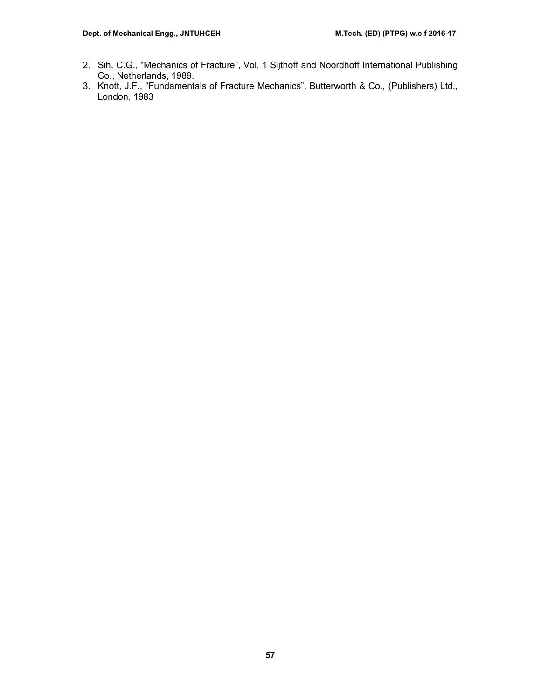- 2. Sih, C.G., "Mechanics of Fracture", Vol. 1 Sijthoff and Noordhoff International Publishing Co., Netherlands, 1989.
- 3. Knott, J.F., "Fundamentals of Fracture Mechanics", Butterworth & Co., (Publishers) Ltd., London. 1983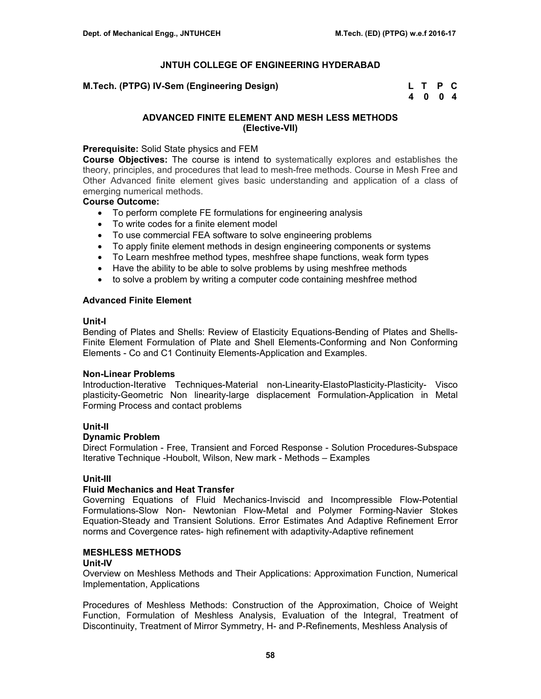**M.Tech. (PTPG) IV-Sem (Engineering Design)** 

| M.Tech. (PTPG) IV-Sem (Engineering Design) | L T P C |      |  |
|--------------------------------------------|---------|------|--|
|                                            |         | 4004 |  |

# **ADVANCED FINITE ELEMENT AND MESH LESS METHODS (Elective-VII)**

# **Prerequisite:** Solid State physics and FEM

**Course Objectives:** The course is intend to systematically explores and establishes the theory, principles, and procedures that lead to mesh-free methods. Course in Mesh Free and Other Advanced finite element gives basic understanding and application of a class of emerging numerical methods.

# **Course Outcome:**

- To perform complete FE formulations for engineering analysis
- To write codes for a finite element model
- To use commercial FEA software to solve engineering problems
- To apply finite element methods in design engineering components or systems
- To Learn meshfree method types, meshfree shape functions, weak form types
- Have the ability to be able to solve problems by using meshfree methods
- to solve a problem by writing a computer code containing meshfree method

# **Advanced Finite Element**

## **Unit-I**

Bending of Plates and Shells: Review of Elasticity Equations-Bending of Plates and Shells-Finite Element Formulation of Plate and Shell Elements-Conforming and Non Conforming Elements - Co and C1 Continuity Elements-Application and Examples.

## **Non-Linear Problems**

Introduction-Iterative Techniques-Material non-Linearity-ElastoPlasticity-Plasticity- Visco plasticity-Geometric Non linearity-large displacement Formulation-Application in Metal Forming Process and contact problems

## **Unit-II**

## **Dynamic Problem**

Direct Formulation - Free, Transient and Forced Response - Solution Procedures-Subspace Iterative Technique -Houbolt, Wilson, New mark - Methods – Examples

## **Unit-III**

## **Fluid Mechanics and Heat Transfer**

Governing Equations of Fluid Mechanics-Inviscid and Incompressible Flow-Potential Formulations-Slow Non- Newtonian Flow-Metal and Polymer Forming-Navier Stokes Equation-Steady and Transient Solutions. Error Estimates And Adaptive Refinement Error norms and Covergence rates- high refinement with adaptivity-Adaptive refinement

## **MESHLESS METHODS**

## **Unit-IV**

Overview on Meshless Methods and Their Applications: Approximation Function, Numerical Implementation, Applications

Procedures of Meshless Methods: Construction of the Approximation, Choice of Weight Function, Formulation of Meshless Analysis, Evaluation of the Integral, Treatment of Discontinuity, Treatment of Mirror Symmetry, H- and P-Refinements, Meshless Analysis of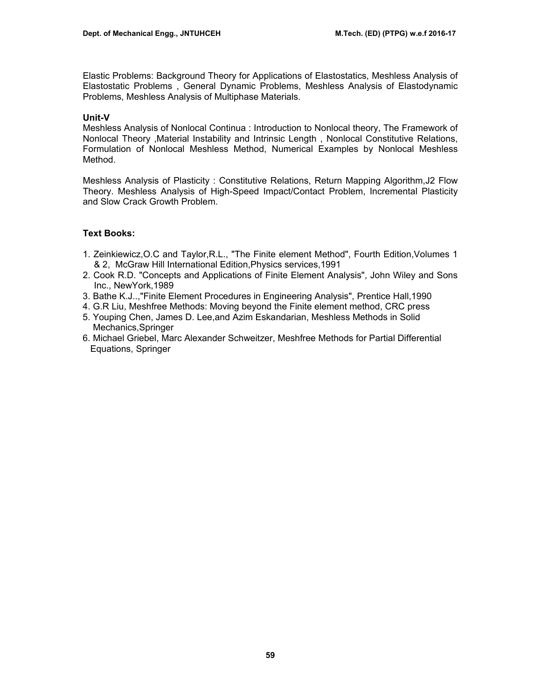Elastic Problems: Background Theory for Applications of Elastostatics, Meshless Analysis of Elastostatic Problems , General Dynamic Problems, Meshless Analysis of Elastodynamic Problems, Meshless Analysis of Multiphase Materials.

# **Unit-V**

Meshless Analysis of Nonlocal Continua : Introduction to Nonlocal theory, The Framework of Nonlocal Theory ,Material Instability and Intrinsic Length , Nonlocal Constitutive Relations, Formulation of Nonlocal Meshless Method, Numerical Examples by Nonlocal Meshless Method.

Meshless Analysis of Plasticity : Constitutive Relations, Return Mapping Algorithm,J2 Flow Theory. Meshless Analysis of High-Speed Impact/Contact Problem, Incremental Plasticity and Slow Crack Growth Problem.

# **Text Books:**

- 1. Zeinkiewicz,O.C and Taylor,R.L., "The Finite element Method", Fourth Edition,Volumes 1 & 2, McGraw Hill International Edition,Physics services,1991
- 2. Cook R.D. "Concepts and Applications of Finite Element Analysis", John Wiley and Sons Inc., NewYork,1989
- 3. Bathe K.J..,"Finite Element Procedures in Engineering Analysis", Prentice Hall,1990
- 4. G.R Liu, Meshfree Methods: Moving beyond the Finite element method, CRC press
- 5. Youping Chen, James D. Lee,and Azim Eskandarian, Meshless Methods in Solid Mechanics,Springer
- 6. Michael Griebel, Marc Alexander Schweitzer, Meshfree Methods for Partial Differential Equations, Springer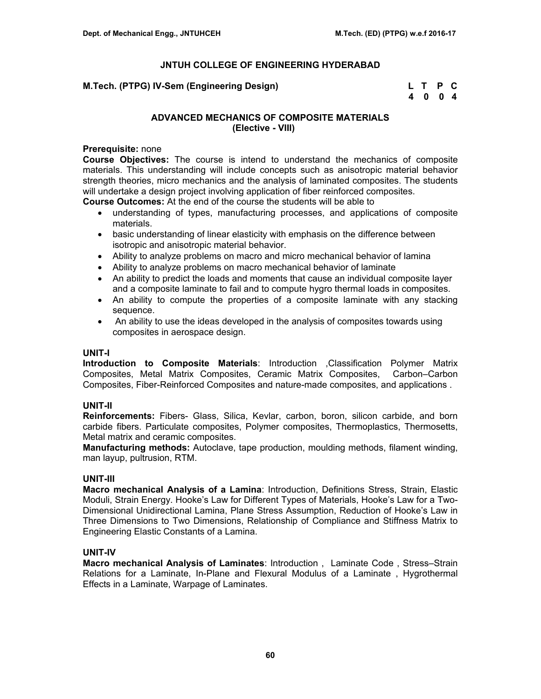| M.Tech. (PTPG) IV-Sem (Engineering Design) | L T P C |  |
|--------------------------------------------|---------|--|
|                                            | 4 0 0 4 |  |

# **ADVANCED MECHANICS OF COMPOSITE MATERIALS (Elective - VIII)**

# **Prerequisite:** none

**Course Objectives:** The course is intend to understand the mechanics of composite materials. This understanding will include concepts such as anisotropic material behavior strength theories, micro mechanics and the analysis of laminated composites. The students will undertake a design project involving application of fiber reinforced composites.

**Course Outcomes:** At the end of the course the students will be able to

- understanding of types, manufacturing processes, and applications of composite materials.
- basic understanding of linear elasticity with emphasis on the difference between isotropic and anisotropic material behavior.
- Ability to analyze problems on macro and micro mechanical behavior of lamina
- Ability to analyze problems on macro mechanical behavior of laminate
- An ability to predict the loads and moments that cause an individual composite layer and a composite laminate to fail and to compute hygro thermal loads in composites.
- An ability to compute the properties of a composite laminate with any stacking sequence.
- An ability to use the ideas developed in the analysis of composites towards using composites in aerospace design.

# **UNIT-I**

**Introduction to Composite Materials**: Introduction ,Classification Polymer Matrix Composites, Metal Matrix Composites, Ceramic Matrix Composites, Carbon–Carbon Composites, Fiber-Reinforced Composites and nature-made composites, and applications .

# **UNIT-II**

**Reinforcements:** Fibers- Glass, Silica, Kevlar, carbon, boron, silicon carbide, and born carbide fibers. Particulate composites, Polymer composites, Thermoplastics, Thermosetts, Metal matrix and ceramic composites.

**Manufacturing methods:** Autoclave, tape production, moulding methods, filament winding, man layup, pultrusion, RTM.

## **UNIT-III**

**Macro mechanical Analysis of a Lamina**: Introduction, Definitions Stress, Strain, Elastic Moduli, Strain Energy. Hooke's Law for Different Types of Materials, Hooke's Law for a Two-Dimensional Unidirectional Lamina, Plane Stress Assumption, Reduction of Hooke's Law in Three Dimensions to Two Dimensions, Relationship of Compliance and Stiffness Matrix to Engineering Elastic Constants of a Lamina.

# **UNIT-IV**

**Macro mechanical Analysis of Laminates**: Introduction , Laminate Code , Stress–Strain Relations for a Laminate, In-Plane and Flexural Modulus of a Laminate , Hygrothermal Effects in a Laminate, Warpage of Laminates.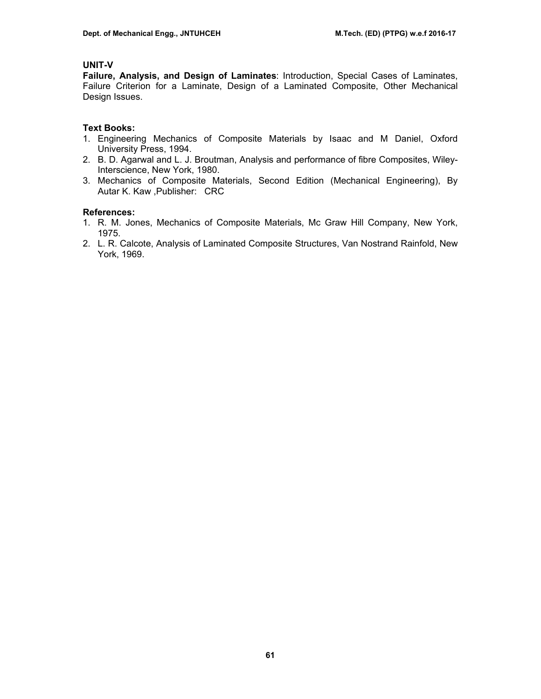# **UNIT-V**

**Failure, Analysis, and Design of Laminates**: Introduction, Special Cases of Laminates, Failure Criterion for a Laminate, Design of a Laminated Composite, Other Mechanical Design Issues.

# **Text Books:**

- 1. Engineering Mechanics of Composite Materials by Isaac and M Daniel, Oxford University Press, 1994.
- 2. B. D. Agarwal and L. J. Broutman, Analysis and performance of fibre Composites, Wiley-Interscience, New York, 1980.
- 3. Mechanics of Composite Materials, Second Edition (Mechanical Engineering), By Autar K. Kaw ,Publisher: CRC

- 1. R. M. Jones, Mechanics of Composite Materials, Mc Graw Hill Company, New York, 1975.
- 2. L. R. Calcote, Analysis of Laminated Composite Structures, Van Nostrand Rainfold, New York, 1969.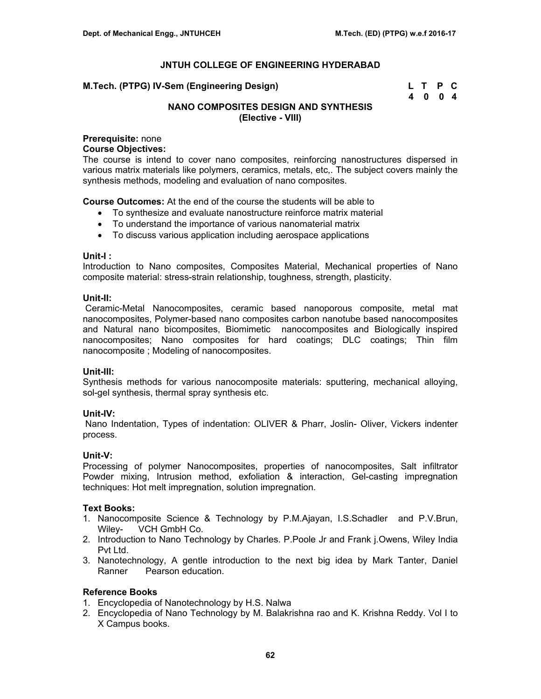**M.Tech. (PTPG) IV-Sem (Engineering Design)** 

| M.Tech. (PTPG) IV-Sem (Engineering Design) | L T P C |  |
|--------------------------------------------|---------|--|
|                                            | 4 0 0 4 |  |

# **NANO COMPOSITES DESIGN AND SYNTHESIS (Elective - VIII)**

# **Prerequisite:** none

## **Course Objectives:**

The course is intend to cover nano composites, reinforcing nanostructures dispersed in various matrix materials like polymers, ceramics, metals, etc,. The subject covers mainly the synthesis methods, modeling and evaluation of nano composites.

**Course Outcomes:** At the end of the course the students will be able to

- To synthesize and evaluate nanostructure reinforce matrix material
- To understand the importance of various nanomaterial matrix
- To discuss various application including aerospace applications

## **Unit-I :**

Introduction to Nano composites, Composites Material, Mechanical properties of Nano composite material: stress-strain relationship, toughness, strength, plasticity.

## **Unit-II:**

 Ceramic-Metal Nanocomposites, ceramic based nanoporous composite, metal mat nanocomposites, Polymer-based nano composites carbon nanotube based nanocomposites and Natural nano bicomposites, Biomimetic nanocomposites and Biologically inspired nanocomposites; Nano composites for hard coatings; DLC coatings; Thin film nanocomposite ; Modeling of nanocomposites.

## **Unit-III:**

Synthesis methods for various nanocomposite materials: sputtering, mechanical alloying, sol-gel synthesis, thermal spray synthesis etc.

## **Unit-IV:**

 Nano Indentation, Types of indentation: OLIVER & Pharr, Joslin- Oliver, Vickers indenter process.

## **Unit-V:**

Processing of polymer Nanocomposites, properties of nanocomposites, Salt infiltrator Powder mixing, Intrusion method, exfoliation & interaction, Gel-casting impregnation techniques: Hot melt impregnation, solution impregnation.

## **Text Books:**

- 1. Nanocomposite Science & Technology by P.M.Ajayan, I.S.Schadler and P.V.Brun, Wiley- VCH GmbH Co.
- 2. Introduction to Nano Technology by Charles. P.Poole Jr and Frank j.Owens, Wiley India Pvt Ltd.
- 3. Nanotechnology, A gentle introduction to the next big idea by Mark Tanter, Daniel Ranner Pearson education.

## **Reference Books**

- 1. Encyclopedia of Nanotechnology by H.S. Nalwa
- 2. Encyclopedia of Nano Technology by M. Balakrishna rao and K. Krishna Reddy. Vol I to X Campus books.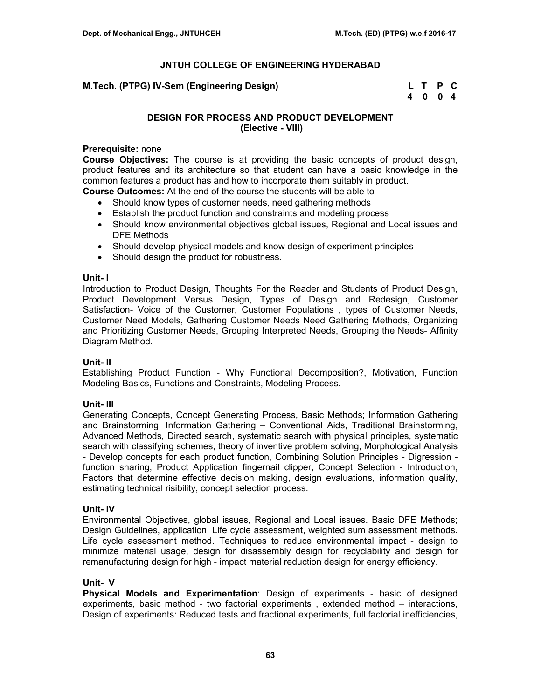**M.Tech. (PTPG) IV-Sem (Engineering Design)** 

| M.Tech. (PTPG) IV-Sem (Engineering Design) | L T P C |  |
|--------------------------------------------|---------|--|
|                                            | 4004    |  |

# **DESIGN FOR PROCESS AND PRODUCT DEVELOPMENT (Elective - VIII)**

## **Prerequisite:** none

**Course Objectives:** The course is at providing the basic concepts of product design, product features and its architecture so that student can have a basic knowledge in the common features a product has and how to incorporate them suitably in product.

**Course Outcomes:** At the end of the course the students will be able to

- Should know types of customer needs, need gathering methods
- Establish the product function and constraints and modeling process
- Should know environmental objectives global issues. Regional and Local issues and DFE Methods
- Should develop physical models and know design of experiment principles
- Should design the product for robustness.

#### **Unit- I**

Introduction to Product Design, Thoughts For the Reader and Students of Product Design, Product Development Versus Design, Types of Design and Redesign, Customer Satisfaction- Voice of the Customer, Customer Populations , types of Customer Needs, Customer Need Models, Gathering Customer Needs Need Gathering Methods, Organizing and Prioritizing Customer Needs, Grouping Interpreted Needs, Grouping the Needs- Affinity Diagram Method.

## **Unit- II**

Establishing Product Function - Why Functional Decomposition?, Motivation, Function Modeling Basics, Functions and Constraints, Modeling Process.

## **Unit- III**

Generating Concepts, Concept Generating Process, Basic Methods; Information Gathering and Brainstorming, Information Gathering – Conventional Aids, Traditional Brainstorming, Advanced Methods, Directed search, systematic search with physical principles, systematic search with classifying schemes, theory of inventive problem solving, Morphological Analysis - Develop concepts for each product function, Combining Solution Principles - Digression function sharing, Product Application fingernail clipper, Concept Selection - Introduction, Factors that determine effective decision making, design evaluations, information quality, estimating technical risibility, concept selection process.

## **Unit- IV**

Environmental Objectives, global issues, Regional and Local issues. Basic DFE Methods; Design Guidelines, application. Life cycle assessment, weighted sum assessment methods. Life cycle assessment method. Techniques to reduce environmental impact - design to minimize material usage, design for disassembly design for recyclability and design for remanufacturing design for high - impact material reduction design for energy efficiency.

## **Unit- V**

**Physical Models and Experimentation**: Design of experiments - basic of designed experiments, basic method - two factorial experiments , extended method – interactions, Design of experiments: Reduced tests and fractional experiments, full factorial inefficiencies,